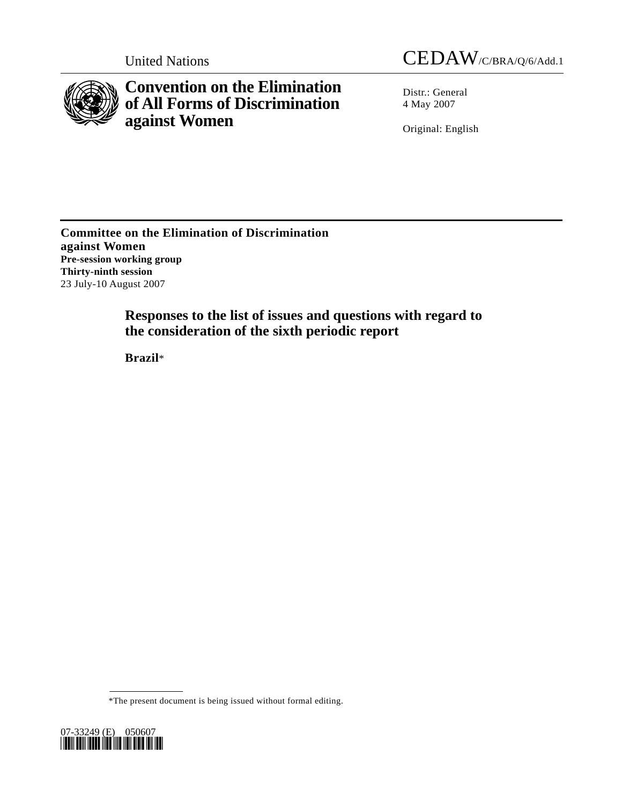

**Convention on the Elimination of All Forms of Discrimination against Women** 

United Nations CEDAW/C/BRA/Q/6/Add.1

Distr.: General 4 May 2007

Original: English

**Committee on the Elimination of Discrimination against Women Pre-session working group Thirty-ninth session**  23 July-10 August 2007

> **Responses to the list of issues and questions with regard to the consideration of the sixth periodic report**

 **Brazil**\*

<sup>\*</sup>The present document is being issued without formal editing.

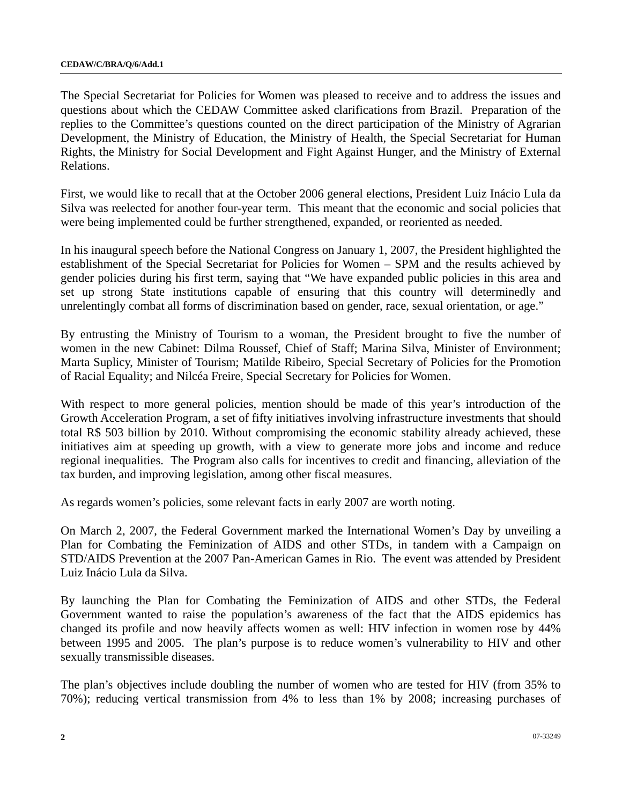The Special Secretariat for Policies for Women was pleased to receive and to address the issues and questions about which the CEDAW Committee asked clarifications from Brazil. Preparation of the replies to the Committee's questions counted on the direct participation of the Ministry of Agrarian Development, the Ministry of Education, the Ministry of Health, the Special Secretariat for Human Rights, the Ministry for Social Development and Fight Against Hunger, and the Ministry of External Relations.

First, we would like to recall that at the October 2006 general elections, President Luiz Inácio Lula da Silva was reelected for another four-year term. This meant that the economic and social policies that were being implemented could be further strengthened, expanded, or reoriented as needed.

In his inaugural speech before the National Congress on January 1, 2007, the President highlighted the establishment of the Special Secretariat for Policies for Women – SPM and the results achieved by gender policies during his first term, saying that "We have expanded public policies in this area and set up strong State institutions capable of ensuring that this country will determinedly and unrelentingly combat all forms of discrimination based on gender, race, sexual orientation, or age."

By entrusting the Ministry of Tourism to a woman, the President brought to five the number of women in the new Cabinet: Dilma Roussef, Chief of Staff; Marina Silva, Minister of Environment; Marta Suplicy, Minister of Tourism; Matilde Ribeiro, Special Secretary of Policies for the Promotion of Racial Equality; and Nilcéa Freire, Special Secretary for Policies for Women.

With respect to more general policies, mention should be made of this year's introduction of the Growth Acceleration Program, a set of fifty initiatives involving infrastructure investments that should total R\$ 503 billion by 2010. Without compromising the economic stability already achieved, these initiatives aim at speeding up growth, with a view to generate more jobs and income and reduce regional inequalities. The Program also calls for incentives to credit and financing, alleviation of the tax burden, and improving legislation, among other fiscal measures.

As regards women's policies, some relevant facts in early 2007 are worth noting.

On March 2, 2007, the Federal Government marked the International Women's Day by unveiling a Plan for Combating the Feminization of AIDS and other STDs, in tandem with a Campaign on STD/AIDS Prevention at the 2007 Pan-American Games in Rio. The event was attended by President Luiz Inácio Lula da Silva.

By launching the Plan for Combating the Feminization of AIDS and other STDs, the Federal Government wanted to raise the population's awareness of the fact that the AIDS epidemics has changed its profile and now heavily affects women as well: HIV infection in women rose by 44% between 1995 and 2005. The plan's purpose is to reduce women's vulnerability to HIV and other sexually transmissible diseases.

The plan's objectives include doubling the number of women who are tested for HIV (from 35% to 70%); reducing vertical transmission from 4% to less than 1% by 2008; increasing purchases of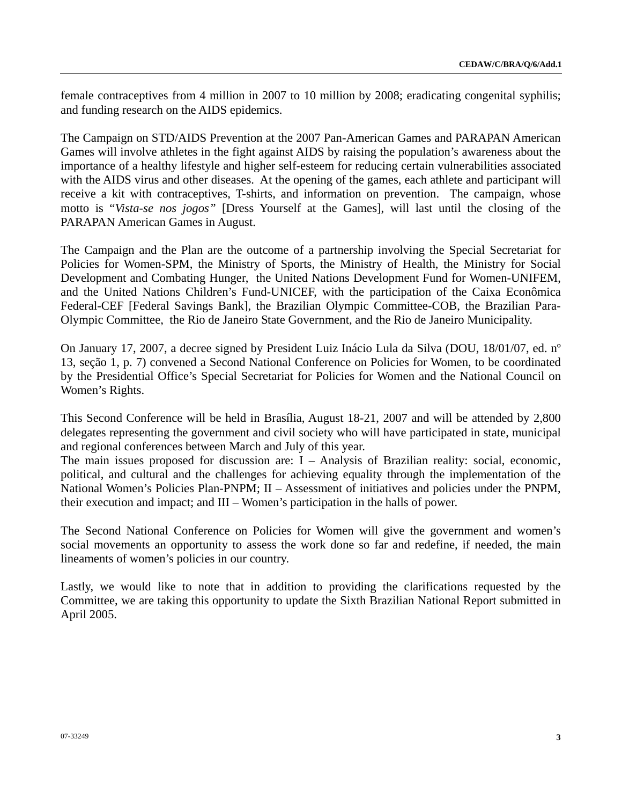female contraceptives from 4 million in 2007 to 10 million by 2008; eradicating congenital syphilis; and funding research on the AIDS epidemics.

The Campaign on STD/AIDS Prevention at the 2007 Pan-American Games and PARAPAN American Games will involve athletes in the fight against AIDS by raising the population's awareness about the importance of a healthy lifestyle and higher self-esteem for reducing certain vulnerabilities associated with the AIDS virus and other diseases. At the opening of the games, each athlete and participant will receive a kit with contraceptives, T-shirts, and information on prevention. The campaign, whose motto is "*Vista-se nos jogos"* [Dress Yourself at the Games], will last until the closing of the PARAPAN American Games in August.

The Campaign and the Plan are the outcome of a partnership involving the Special Secretariat for Policies for Women-SPM, the Ministry of Sports, the Ministry of Health, the Ministry for Social Development and Combating Hunger, the United Nations Development Fund for Women-UNIFEM, and the United Nations Children's Fund-UNICEF, with the participation of the Caixa Econômica Federal-CEF [Federal Savings Bank], the Brazilian Olympic Committee-COB, the Brazilian Para-Olympic Committee, the Rio de Janeiro State Government, and the Rio de Janeiro Municipality.

On January 17, 2007, a decree signed by President Luiz Inácio Lula da Silva (DOU, 18/01/07, ed. nº 13, seção 1, p. 7) convened a Second National Conference on Policies for Women, to be coordinated by the Presidential Office's Special Secretariat for Policies for Women and the National Council on Women's Rights.

This Second Conference will be held in Brasília, August 18-21, 2007 and will be attended by 2,800 delegates representing the government and civil society who will have participated in state, municipal and regional conferences between March and July of this year.

The main issues proposed for discussion are: I – Analysis of Brazilian reality: social, economic, political, and cultural and the challenges for achieving equality through the implementation of the National Women's Policies Plan-PNPM; II – Assessment of initiatives and policies under the PNPM, their execution and impact; and III – Women's participation in the halls of power.

The Second National Conference on Policies for Women will give the government and women's social movements an opportunity to assess the work done so far and redefine, if needed, the main lineaments of women's policies in our country.

Lastly, we would like to note that in addition to providing the clarifications requested by the Committee, we are taking this opportunity to update the Sixth Brazilian National Report submitted in April 2005.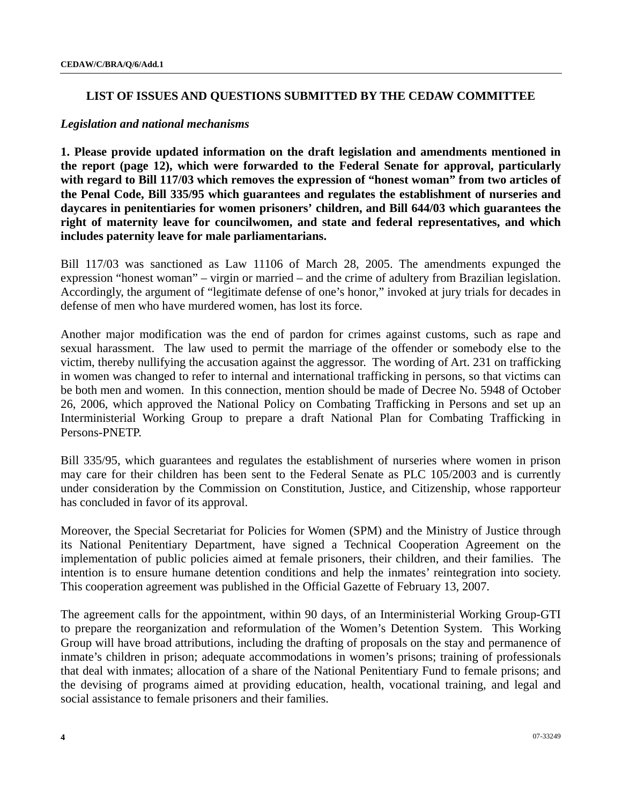### **LIST OF ISSUES AND QUESTIONS SUBMITTED BY THE CEDAW COMMITTEE**

#### *Legislation and national mechanisms*

**1. Please provide updated information on the draft legislation and amendments mentioned in the report (page 12), which were forwarded to the Federal Senate for approval, particularly with regard to Bill 117/03 which removes the expression of "honest woman" from two articles of the Penal Code, Bill 335/95 which guarantees and regulates the establishment of nurseries and daycares in penitentiaries for women prisoners' children, and Bill 644/03 which guarantees the right of maternity leave for councilwomen, and state and federal representatives, and which includes paternity leave for male parliamentarians.** 

Bill 117/03 was sanctioned as Law 11106 of March 28, 2005. The amendments expunged the expression "honest woman" – virgin or married – and the crime of adultery from Brazilian legislation. Accordingly, the argument of "legitimate defense of one's honor," invoked at jury trials for decades in defense of men who have murdered women, has lost its force.

Another major modification was the end of pardon for crimes against customs, such as rape and sexual harassment. The law used to permit the marriage of the offender or somebody else to the victim, thereby nullifying the accusation against the aggressor. The wording of Art. 231 on trafficking in women was changed to refer to internal and international trafficking in persons, so that victims can be both men and women. In this connection, mention should be made of Decree No. 5948 of October 26, 2006, which approved the National Policy on Combating Trafficking in Persons and set up an Interministerial Working Group to prepare a draft National Plan for Combating Trafficking in Persons-PNETP.

Bill 335/95, which guarantees and regulates the establishment of nurseries where women in prison may care for their children has been sent to the Federal Senate as PLC 105/2003 and is currently under consideration by the Commission on Constitution, Justice, and Citizenship, whose rapporteur has concluded in favor of its approval.

Moreover, the Special Secretariat for Policies for Women (SPM) and the Ministry of Justice through its National Penitentiary Department, have signed a Technical Cooperation Agreement on the implementation of public policies aimed at female prisoners, their children, and their families. The intention is to ensure humane detention conditions and help the inmates' reintegration into society. This cooperation agreement was published in the Official Gazette of February 13, 2007.

The agreement calls for the appointment, within 90 days, of an Interministerial Working Group-GTI to prepare the reorganization and reformulation of the Women's Detention System. This Working Group will have broad attributions, including the drafting of proposals on the stay and permanence of inmate's children in prison; adequate accommodations in women's prisons; training of professionals that deal with inmates; allocation of a share of the National Penitentiary Fund to female prisons; and the devising of programs aimed at providing education, health, vocational training, and legal and social assistance to female prisoners and their families.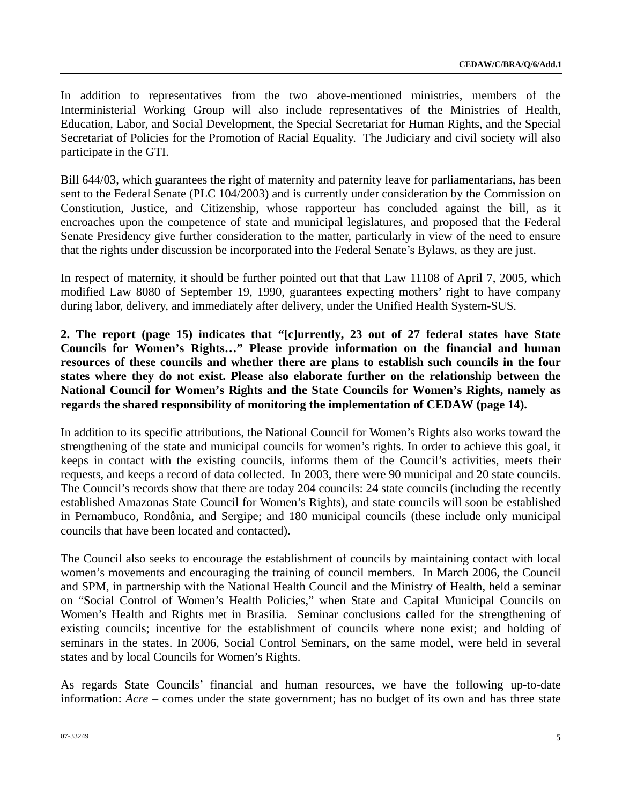In addition to representatives from the two above-mentioned ministries, members of the Interministerial Working Group will also include representatives of the Ministries of Health, Education, Labor, and Social Development, the Special Secretariat for Human Rights, and the Special Secretariat of Policies for the Promotion of Racial Equality. The Judiciary and civil society will also participate in the GTI.

Bill 644/03, which guarantees the right of maternity and paternity leave for parliamentarians, has been sent to the Federal Senate (PLC 104/2003) and is currently under consideration by the Commission on Constitution, Justice, and Citizenship, whose rapporteur has concluded against the bill, as it encroaches upon the competence of state and municipal legislatures, and proposed that the Federal Senate Presidency give further consideration to the matter, particularly in view of the need to ensure that the rights under discussion be incorporated into the Federal Senate's Bylaws, as they are just.

In respect of maternity, it should be further pointed out that that Law 11108 of April 7, 2005, which modified Law 8080 of September 19, 1990, guarantees expecting mothers' right to have company during labor, delivery, and immediately after delivery, under the Unified Health System-SUS.

**2. The report (page 15) indicates that "[c]urrently, 23 out of 27 federal states have State Councils for Women's Rights…" Please provide information on the financial and human resources of these councils and whether there are plans to establish such councils in the four states where they do not exist. Please also elaborate further on the relationship between the National Council for Women's Rights and the State Councils for Women's Rights, namely as regards the shared responsibility of monitoring the implementation of CEDAW (page 14).** 

In addition to its specific attributions, the National Council for Women's Rights also works toward the strengthening of the state and municipal councils for women's rights. In order to achieve this goal, it keeps in contact with the existing councils, informs them of the Council's activities, meets their requests, and keeps a record of data collected. In 2003, there were 90 municipal and 20 state councils. The Council's records show that there are today 204 councils: 24 state councils (including the recently established Amazonas State Council for Women's Rights), and state councils will soon be established in Pernambuco, Rondônia, and Sergipe; and 180 municipal councils (these include only municipal councils that have been located and contacted).

The Council also seeks to encourage the establishment of councils by maintaining contact with local women's movements and encouraging the training of council members. In March 2006, the Council and SPM, in partnership with the National Health Council and the Ministry of Health, held a seminar on "Social Control of Women's Health Policies," when State and Capital Municipal Councils on Women's Health and Rights met in Brasília. Seminar conclusions called for the strengthening of existing councils; incentive for the establishment of councils where none exist; and holding of seminars in the states. In 2006, Social Control Seminars, on the same model, were held in several states and by local Councils for Women's Rights.

As regards State Councils' financial and human resources, we have the following up-to-date information: *Acre* – comes under the state government; has no budget of its own and has three state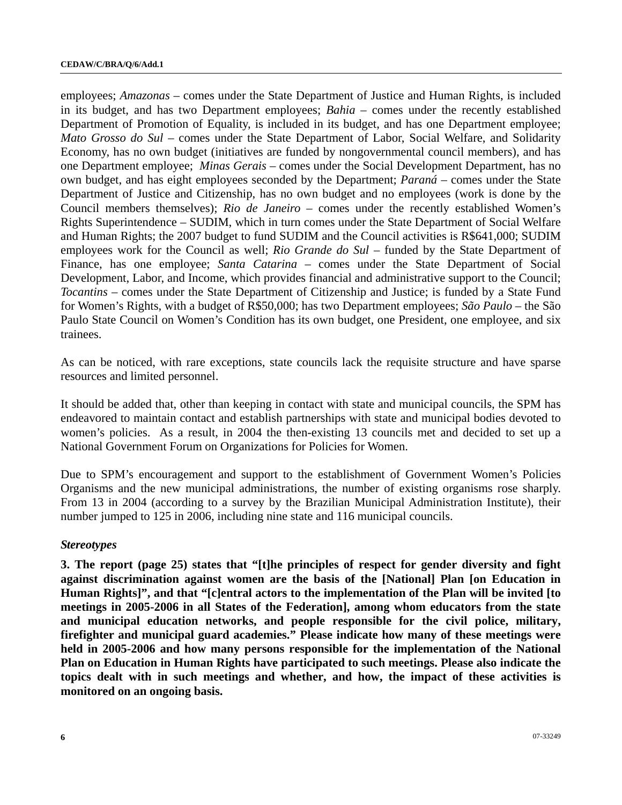employees; *Amazonas* – comes under the State Department of Justice and Human Rights, is included in its budget, and has two Department employees; *Bahia* – comes under the recently established Department of Promotion of Equality, is included in its budget, and has one Department employee; *Mato Grosso do Sul* – comes under the State Department of Labor, Social Welfare, and Solidarity Economy, has no own budget (initiatives are funded by nongovernmental council members), and has one Department employee; *Minas Gerais* – comes under the Social Development Department, has no own budget, and has eight employees seconded by the Department; *Paraná* – comes under the State Department of Justice and Citizenship, has no own budget and no employees (work is done by the Council members themselves); *Rio de Janeiro* – comes under the recently established Women's Rights Superintendence – SUDIM, which in turn comes under the State Department of Social Welfare and Human Rights; the 2007 budget to fund SUDIM and the Council activities is R\$641,000; SUDIM employees work for the Council as well; *Rio Grande do Sul* – funded by the State Department of Finance, has one employee; *Santa Catarina* – comes under the State Department of Social Development, Labor, and Income, which provides financial and administrative support to the Council; *Tocantins* – comes under the State Department of Citizenship and Justice; is funded by a State Fund for Women's Rights, with a budget of R\$50,000; has two Department employees; *São Paulo* – the São Paulo State Council on Women's Condition has its own budget, one President, one employee, and six trainees.

As can be noticed, with rare exceptions, state councils lack the requisite structure and have sparse resources and limited personnel.

It should be added that, other than keeping in contact with state and municipal councils, the SPM has endeavored to maintain contact and establish partnerships with state and municipal bodies devoted to women's policies. As a result, in 2004 the then-existing 13 councils met and decided to set up a National Government Forum on Organizations for Policies for Women.

Due to SPM's encouragement and support to the establishment of Government Women's Policies Organisms and the new municipal administrations, the number of existing organisms rose sharply. From 13 in 2004 (according to a survey by the Brazilian Municipal Administration Institute), their number jumped to 125 in 2006, including nine state and 116 municipal councils.

#### *Stereotypes*

**3. The report (page 25) states that "[t]he principles of respect for gender diversity and fight against discrimination against women are the basis of the [National] Plan [on Education in Human Rights]", and that "[c]entral actors to the implementation of the Plan will be invited [to meetings in 2005-2006 in all States of the Federation], among whom educators from the state and municipal education networks, and people responsible for the civil police, military, firefighter and municipal guard academies." Please indicate how many of these meetings were held in 2005-2006 and how many persons responsible for the implementation of the National Plan on Education in Human Rights have participated to such meetings. Please also indicate the topics dealt with in such meetings and whether, and how, the impact of these activities is monitored on an ongoing basis.**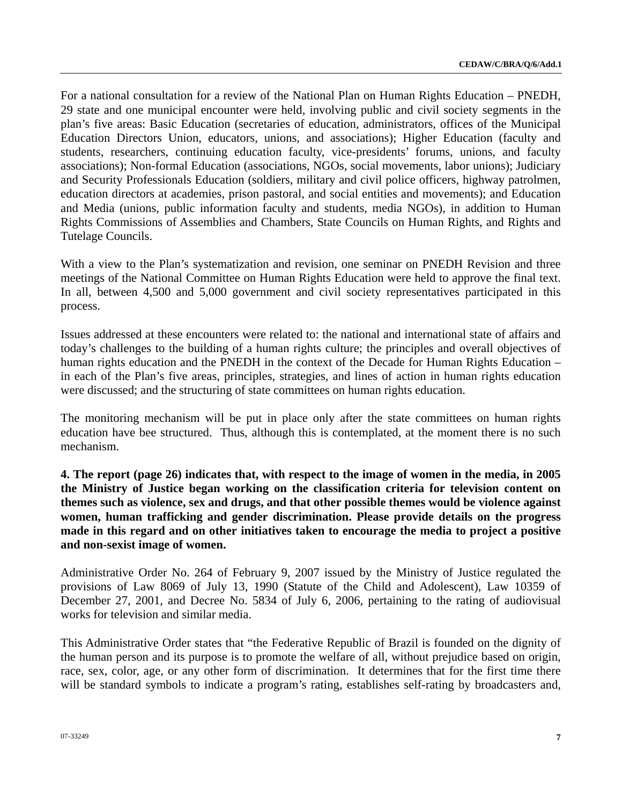For a national consultation for a review of the National Plan on Human Rights Education – PNEDH, 29 state and one municipal encounter were held, involving public and civil society segments in the plan's five areas: Basic Education (secretaries of education, administrators, offices of the Municipal Education Directors Union, educators, unions, and associations); Higher Education (faculty and students, researchers, continuing education faculty, vice-presidents' forums, unions, and faculty associations); Non-formal Education (associations, NGOs, social movements, labor unions); Judiciary and Security Professionals Education (soldiers, military and civil police officers, highway patrolmen, education directors at academies, prison pastoral, and social entities and movements); and Education and Media (unions, public information faculty and students, media NGOs), in addition to Human Rights Commissions of Assemblies and Chambers, State Councils on Human Rights, and Rights and Tutelage Councils.

With a view to the Plan's systematization and revision, one seminar on PNEDH Revision and three meetings of the National Committee on Human Rights Education were held to approve the final text. In all, between 4,500 and 5,000 government and civil society representatives participated in this process.

Issues addressed at these encounters were related to: the national and international state of affairs and today's challenges to the building of a human rights culture; the principles and overall objectives of human rights education and the PNEDH in the context of the Decade for Human Rights Education – in each of the Plan's five areas, principles, strategies, and lines of action in human rights education were discussed; and the structuring of state committees on human rights education.

The monitoring mechanism will be put in place only after the state committees on human rights education have bee structured. Thus, although this is contemplated, at the moment there is no such mechanism.

**4. The report (page 26) indicates that, with respect to the image of women in the media, in 2005 the Ministry of Justice began working on the classification criteria for television content on themes such as violence, sex and drugs, and that other possible themes would be violence against women, human trafficking and gender discrimination. Please provide details on the progress made in this regard and on other initiatives taken to encourage the media to project a positive and non-sexist image of women.** 

Administrative Order No. 264 of February 9, 2007 issued by the Ministry of Justice regulated the provisions of Law 8069 of July 13, 1990 (Statute of the Child and Adolescent), Law 10359 of December 27, 2001, and Decree No. 5834 of July 6, 2006, pertaining to the rating of audiovisual works for television and similar media.

This Administrative Order states that "the Federative Republic of Brazil is founded on the dignity of the human person and its purpose is to promote the welfare of all, without prejudice based on origin, race, sex, color, age, or any other form of discrimination. It determines that for the first time there will be standard symbols to indicate a program's rating, establishes self-rating by broadcasters and,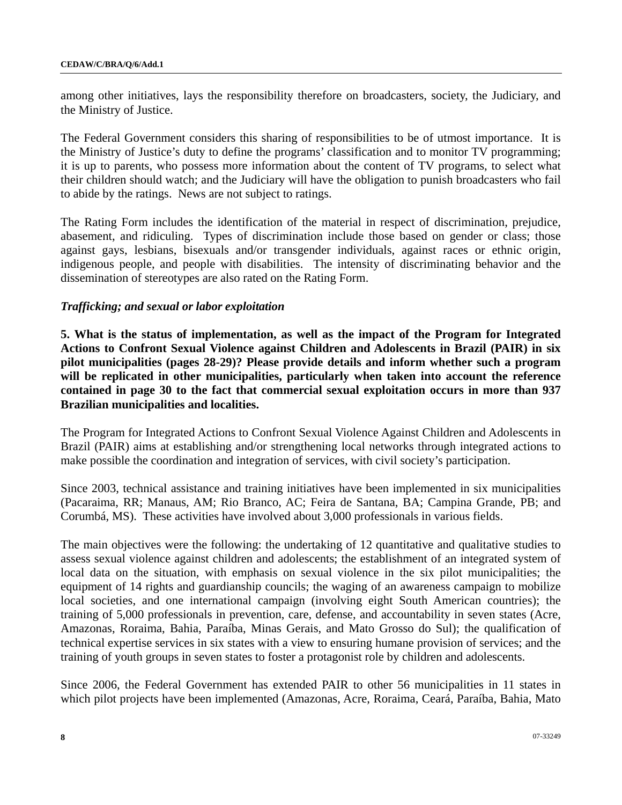among other initiatives, lays the responsibility therefore on broadcasters, society, the Judiciary, and the Ministry of Justice.

The Federal Government considers this sharing of responsibilities to be of utmost importance. It is the Ministry of Justice's duty to define the programs' classification and to monitor TV programming; it is up to parents, who possess more information about the content of TV programs, to select what their children should watch; and the Judiciary will have the obligation to punish broadcasters who fail to abide by the ratings. News are not subject to ratings.

The Rating Form includes the identification of the material in respect of discrimination, prejudice, abasement, and ridiculing. Types of discrimination include those based on gender or class; those against gays, lesbians, bisexuals and/or transgender individuals, against races or ethnic origin, indigenous people, and people with disabilities. The intensity of discriminating behavior and the dissemination of stereotypes are also rated on the Rating Form.

### *Trafficking; and sexual or labor exploitation*

**5. What is the status of implementation, as well as the impact of the Program for Integrated Actions to Confront Sexual Violence against Children and Adolescents in Brazil (PAIR) in six pilot municipalities (pages 28-29)? Please provide details and inform whether such a program will be replicated in other municipalities, particularly when taken into account the reference contained in page 30 to the fact that commercial sexual exploitation occurs in more than 937 Brazilian municipalities and localities.** 

The Program for Integrated Actions to Confront Sexual Violence Against Children and Adolescents in Brazil (PAIR) aims at establishing and/or strengthening local networks through integrated actions to make possible the coordination and integration of services, with civil society's participation.

Since 2003, technical assistance and training initiatives have been implemented in six municipalities (Pacaraima, RR; Manaus, AM; Rio Branco, AC; Feira de Santana, BA; Campina Grande, PB; and Corumbá, MS). These activities have involved about 3,000 professionals in various fields.

The main objectives were the following: the undertaking of 12 quantitative and qualitative studies to assess sexual violence against children and adolescents; the establishment of an integrated system of local data on the situation, with emphasis on sexual violence in the six pilot municipalities; the equipment of 14 rights and guardianship councils; the waging of an awareness campaign to mobilize local societies, and one international campaign (involving eight South American countries); the training of 5,000 professionals in prevention, care, defense, and accountability in seven states (Acre, Amazonas, Roraima, Bahia, Paraíba, Minas Gerais, and Mato Grosso do Sul); the qualification of technical expertise services in six states with a view to ensuring humane provision of services; and the training of youth groups in seven states to foster a protagonist role by children and adolescents.

Since 2006, the Federal Government has extended PAIR to other 56 municipalities in 11 states in which pilot projects have been implemented (Amazonas, Acre, Roraima, Ceará, Paraíba, Bahia, Mato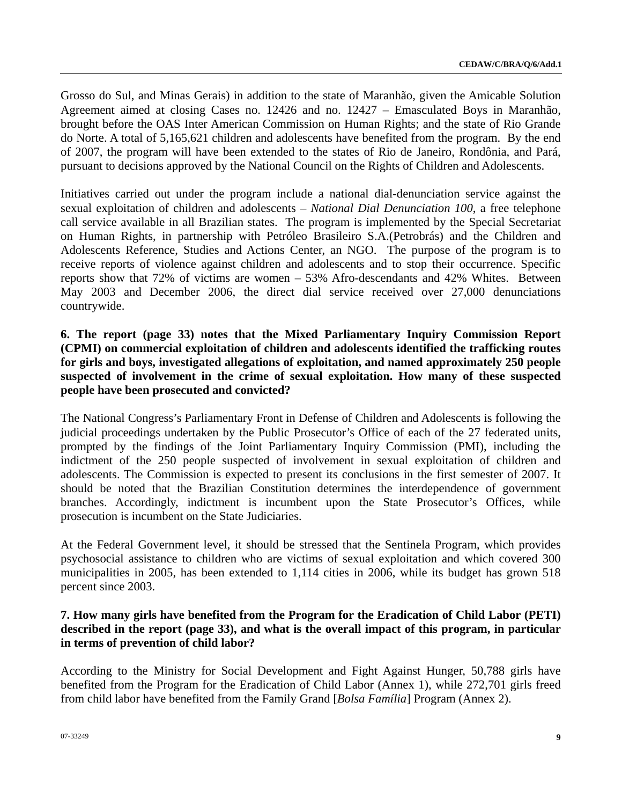Grosso do Sul, and Minas Gerais) in addition to the state of Maranhão, given the Amicable Solution Agreement aimed at closing Cases no. 12426 and no. 12427 – Emasculated Boys in Maranhão, brought before the OAS Inter American Commission on Human Rights; and the state of Rio Grande do Norte. A total of 5,165,621 children and adolescents have benefited from the program. By the end of 2007, the program will have been extended to the states of Rio de Janeiro, Rondônia, and Pará, pursuant to decisions approved by the National Council on the Rights of Children and Adolescents.

Initiatives carried out under the program include a national dial-denunciation service against the sexual exploitation of children and adolescents – *National Dial Denunciation 100*, a free telephone call service available in all Brazilian states. The program is implemented by the Special Secretariat on Human Rights, in partnership with Petróleo Brasileiro S.A.(Petrobrás) and the Children and Adolescents Reference, Studies and Actions Center, an NGO. The purpose of the program is to receive reports of violence against children and adolescents and to stop their occurrence. Specific reports show that 72% of victims are women – 53% Afro-descendants and 42% Whites. Between May 2003 and December 2006, the direct dial service received over 27,000 denunciations countrywide.

## **6. The report (page 33) notes that the Mixed Parliamentary Inquiry Commission Report (CPMI) on commercial exploitation of children and adolescents identified the trafficking routes for girls and boys, investigated allegations of exploitation, and named approximately 250 people suspected of involvement in the crime of sexual exploitation. How many of these suspected people have been prosecuted and convicted?**

The National Congress's Parliamentary Front in Defense of Children and Adolescents is following the judicial proceedings undertaken by the Public Prosecutor's Office of each of the 27 federated units, prompted by the findings of the Joint Parliamentary Inquiry Commission (PMI), including the indictment of the 250 people suspected of involvement in sexual exploitation of children and adolescents. The Commission is expected to present its conclusions in the first semester of 2007. It should be noted that the Brazilian Constitution determines the interdependence of government branches. Accordingly, indictment is incumbent upon the State Prosecutor's Offices, while prosecution is incumbent on the State Judiciaries.

At the Federal Government level, it should be stressed that the Sentinela Program, which provides psychosocial assistance to children who are victims of sexual exploitation and which covered 300 municipalities in 2005, has been extended to 1,114 cities in 2006, while its budget has grown 518 percent since 2003.

# **7. How many girls have benefited from the Program for the Eradication of Child Labor (PETI) described in the report (page 33), and what is the overall impact of this program, in particular in terms of prevention of child labor?**

According to the Ministry for Social Development and Fight Against Hunger, 50,788 girls have benefited from the Program for the Eradication of Child Labor (Annex 1), while 272,701 girls freed from child labor have benefited from the Family Grand [*Bolsa Família*] Program (Annex 2).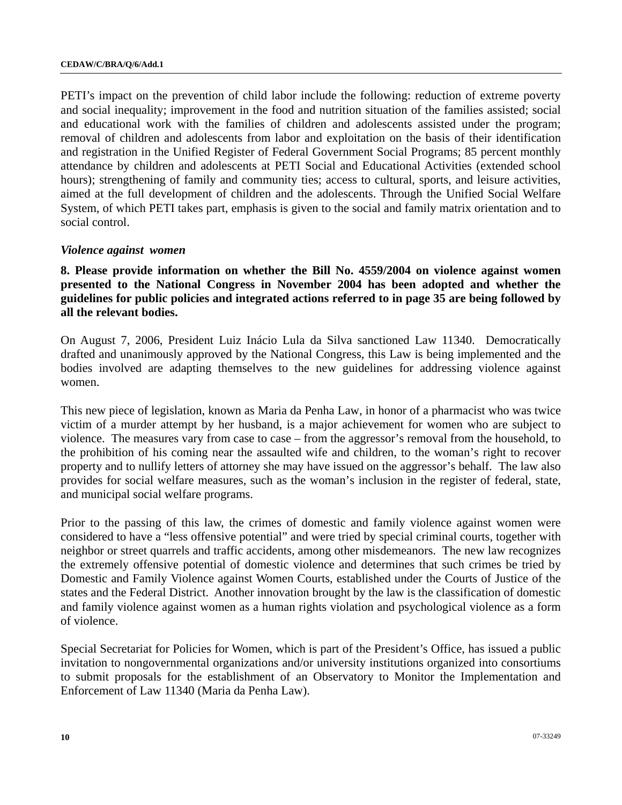PETI's impact on the prevention of child labor include the following: reduction of extreme poverty and social inequality; improvement in the food and nutrition situation of the families assisted; social and educational work with the families of children and adolescents assisted under the program; removal of children and adolescents from labor and exploitation on the basis of their identification and registration in the Unified Register of Federal Government Social Programs; 85 percent monthly attendance by children and adolescents at PETI Social and Educational Activities (extended school hours); strengthening of family and community ties; access to cultural, sports, and leisure activities, aimed at the full development of children and the adolescents. Through the Unified Social Welfare System, of which PETI takes part, emphasis is given to the social and family matrix orientation and to social control.

#### *Violence against women*

**8. Please provide information on whether the Bill No. 4559/2004 on violence against women presented to the National Congress in November 2004 has been adopted and whether the guidelines for public policies and integrated actions referred to in page 35 are being followed by all the relevant bodies.** 

On August 7, 2006, President Luiz Inácio Lula da Silva sanctioned Law 11340. Democratically drafted and unanimously approved by the National Congress, this Law is being implemented and the bodies involved are adapting themselves to the new guidelines for addressing violence against women.

This new piece of legislation, known as Maria da Penha Law, in honor of a pharmacist who was twice victim of a murder attempt by her husband, is a major achievement for women who are subject to violence. The measures vary from case to case – from the aggressor's removal from the household, to the prohibition of his coming near the assaulted wife and children, to the woman's right to recover property and to nullify letters of attorney she may have issued on the aggressor's behalf. The law also provides for social welfare measures, such as the woman's inclusion in the register of federal, state, and municipal social welfare programs.

Prior to the passing of this law, the crimes of domestic and family violence against women were considered to have a "less offensive potential" and were tried by special criminal courts, together with neighbor or street quarrels and traffic accidents, among other misdemeanors. The new law recognizes the extremely offensive potential of domestic violence and determines that such crimes be tried by Domestic and Family Violence against Women Courts, established under the Courts of Justice of the states and the Federal District. Another innovation brought by the law is the classification of domestic and family violence against women as a human rights violation and psychological violence as a form of violence.

Special Secretariat for Policies for Women, which is part of the President's Office, has issued a public invitation to nongovernmental organizations and/or university institutions organized into consortiums to submit proposals for the establishment of an Observatory to Monitor the Implementation and Enforcement of Law 11340 (Maria da Penha Law).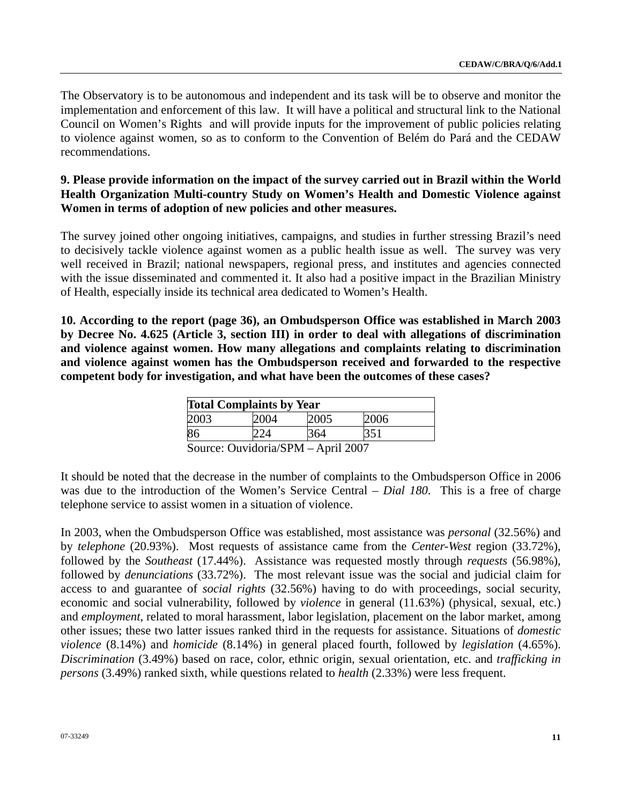The Observatory is to be autonomous and independent and its task will be to observe and monitor the implementation and enforcement of this law. It will have a political and structural link to the National Council on Women's Rights and will provide inputs for the improvement of public policies relating to violence against women, so as to conform to the Convention of Belém do Pará and the CEDAW recommendations.

## **9. Please provide information on the impact of the survey carried out in Brazil within the World Health Organization Multi-country Study on Women's Health and Domestic Violence against Women in terms of adoption of new policies and other measures.**

The survey joined other ongoing initiatives, campaigns, and studies in further stressing Brazil's need to decisively tackle violence against women as a public health issue as well. The survey was very well received in Brazil; national newspapers, regional press, and institutes and agencies connected with the issue disseminated and commented it. It also had a positive impact in the Brazilian Ministry of Health, especially inside its technical area dedicated to Women's Health.

**10. According to the report (page 36), an Ombudsperson Office was established in March 2003 by Decree No. 4.625 (Article 3, section III) in order to deal with allegations of discrimination and violence against women. How many allegations and complaints relating to discrimination and violence against women has the Ombudsperson received and forwarded to the respective competent body for investigation, and what have been the outcomes of these cases?** 

| <b>Total Complaints by Year</b> |  |      |      |  |  |  |  |
|---------------------------------|--|------|------|--|--|--|--|
| 2003                            |  | 2005 | 2006 |  |  |  |  |
| 86                              |  |      |      |  |  |  |  |

Source: Ouvidoria/SPM – April 2007

It should be noted that the decrease in the number of complaints to the Ombudsperson Office in 2006 was due to the introduction of the Women's Service Central – *Dial 180*. This is a free of charge telephone service to assist women in a situation of violence.

In 2003, when the Ombudsperson Office was established, most assistance was *personal* (32.56%) and by *telephone* (20.93%). Most requests of assistance came from the *Center-West* region (33.72%), followed by the *Southeast* (17.44%). Assistance was requested mostly through *requests* (56.98%), followed by *denunciations* (33.72%). The most relevant issue was the social and judicial claim for access to and guarantee of *social rights* (32.56%) having to do with proceedings, social security, economic and social vulnerability, followed by *violence* in general (11.63%) (physical, sexual, etc.) and *employment*, related to moral harassment, labor legislation, placement on the labor market, among other issues; these two latter issues ranked third in the requests for assistance. Situations of *domestic violence* (8.14%) and *homicide* (8.14%) in general placed fourth, followed by *legislation* (4.65%). *Discrimination* (3.49%) based on race, color, ethnic origin, sexual orientation, etc. and *trafficking in persons* (3.49%) ranked sixth, while questions related to *health* (2.33%) were less frequent.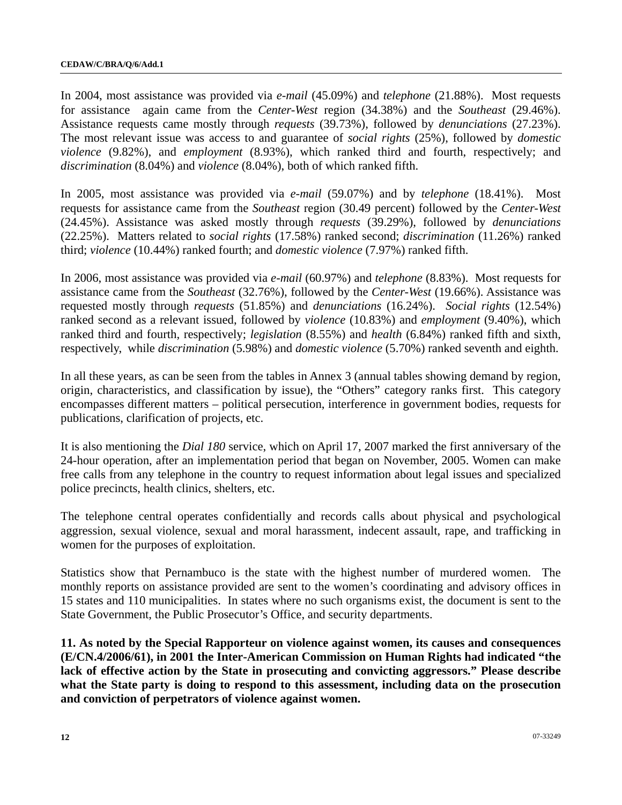In 2004, most assistance was provided via *e-mail* (45.09%) and *telephone* (21.88%). Most requests for assistance again came from the *Center-West* region (34.38%) and the *Southeast* (29.46%). Assistance requests came mostly through *requests* (39.73%), followed by *denunciations* (27.23%). The most relevant issue was access to and guarantee of *social rights* (25%), followed by *domestic violence* (9.82%), and *employment* (8.93%), which ranked third and fourth, respectively; and *discrimination* (8.04%) and *violence* (8.04%), both of which ranked fifth.

In 2005, most assistance was provided via *e-mail* (59.07%) and by *telephone* (18.41%). Most requests for assistance came from the *Southeast* region (30.49 percent) followed by the *Center-West* (24.45%). Assistance was asked mostly through *requests* (39.29%), followed by *denunciations* (22.25%). Matters related to *social rights* (17.58%) ranked second; *discrimination* (11.26%) ranked third; *violence* (10.44%) ranked fourth; and *domestic violence* (7.97%) ranked fifth.

In 2006, most assistance was provided via *e-mail* (60.97%) and *telephone* (8.83%). Most requests for assistance came from the *Southeast* (32.76%), followed by the *Center-West* (19.66%). Assistance was requested mostly through *requests* (51.85%) and *denunciations* (16.24%). *Social rights* (12.54%) ranked second as a relevant issued, followed by *violence* (10.83%) and *employment* (9.40%), which ranked third and fourth, respectively; *legislation* (8.55%) and *health* (6.84%) ranked fifth and sixth, respectively, while *discrimination* (5.98%) and *domestic violence* (5.70%) ranked seventh and eighth.

In all these years, as can be seen from the tables in Annex 3 (annual tables showing demand by region, origin, characteristics, and classification by issue), the "Others" category ranks first. This category encompasses different matters – political persecution, interference in government bodies, requests for publications, clarification of projects, etc.

It is also mentioning the *Dial 180* service, which on April 17, 2007 marked the first anniversary of the 24-hour operation, after an implementation period that began on November, 2005. Women can make free calls from any telephone in the country to request information about legal issues and specialized police precincts, health clinics, shelters, etc.

The telephone central operates confidentially and records calls about physical and psychological aggression, sexual violence, sexual and moral harassment, indecent assault, rape, and trafficking in women for the purposes of exploitation.

Statistics show that Pernambuco is the state with the highest number of murdered women. The monthly reports on assistance provided are sent to the women's coordinating and advisory offices in 15 states and 110 municipalities. In states where no such organisms exist, the document is sent to the State Government, the Public Prosecutor's Office, and security departments.

**11. As noted by the Special Rapporteur on violence against women, its causes and consequences (E/CN.4/2006/61), in 2001 the Inter-American Commission on Human Rights had indicated "the lack of effective action by the State in prosecuting and convicting aggressors." Please describe what the State party is doing to respond to this assessment, including data on the prosecution and conviction of perpetrators of violence against women.**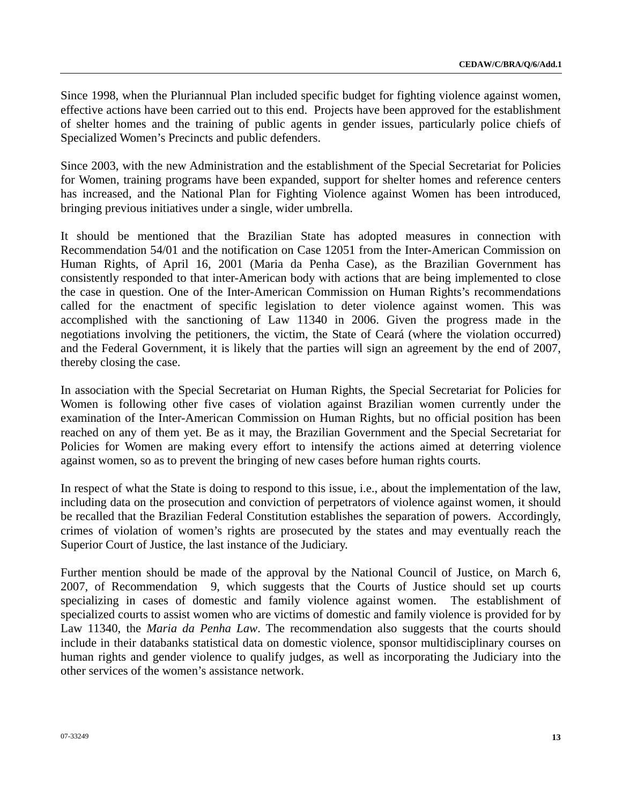Since 1998, when the Pluriannual Plan included specific budget for fighting violence against women, effective actions have been carried out to this end. Projects have been approved for the establishment of shelter homes and the training of public agents in gender issues, particularly police chiefs of Specialized Women's Precincts and public defenders.

Since 2003, with the new Administration and the establishment of the Special Secretariat for Policies for Women, training programs have been expanded, support for shelter homes and reference centers has increased, and the National Plan for Fighting Violence against Women has been introduced, bringing previous initiatives under a single, wider umbrella.

It should be mentioned that the Brazilian State has adopted measures in connection with Recommendation 54/01 and the notification on Case 12051 from the Inter-American Commission on Human Rights, of April 16, 2001 (Maria da Penha Case), as the Brazilian Government has consistently responded to that inter-American body with actions that are being implemented to close the case in question. One of the Inter-American Commission on Human Rights's recommendations called for the enactment of specific legislation to deter violence against women. This was accomplished with the sanctioning of Law 11340 in 2006. Given the progress made in the negotiations involving the petitioners, the victim, the State of Ceará (where the violation occurred) and the Federal Government, it is likely that the parties will sign an agreement by the end of 2007, thereby closing the case.

In association with the Special Secretariat on Human Rights, the Special Secretariat for Policies for Women is following other five cases of violation against Brazilian women currently under the examination of the Inter-American Commission on Human Rights, but no official position has been reached on any of them yet. Be as it may, the Brazilian Government and the Special Secretariat for Policies for Women are making every effort to intensify the actions aimed at deterring violence against women, so as to prevent the bringing of new cases before human rights courts.

In respect of what the State is doing to respond to this issue, i.e., about the implementation of the law, including data on the prosecution and conviction of perpetrators of violence against women, it should be recalled that the Brazilian Federal Constitution establishes the separation of powers. Accordingly, crimes of violation of women's rights are prosecuted by the states and may eventually reach the Superior Court of Justice, the last instance of the Judiciary.

Further mention should be made of the approval by the National Council of Justice, on March 6, 2007, of Recommendation 9, which suggests that the Courts of Justice should set up courts specializing in cases of domestic and family violence against women. The establishment of specialized courts to assist women who are victims of domestic and family violence is provided for by Law 11340, the *Maria da Penha Law*. The recommendation also suggests that the courts should include in their databanks statistical data on domestic violence, sponsor multidisciplinary courses on human rights and gender violence to qualify judges, as well as incorporating the Judiciary into the other services of the women's assistance network.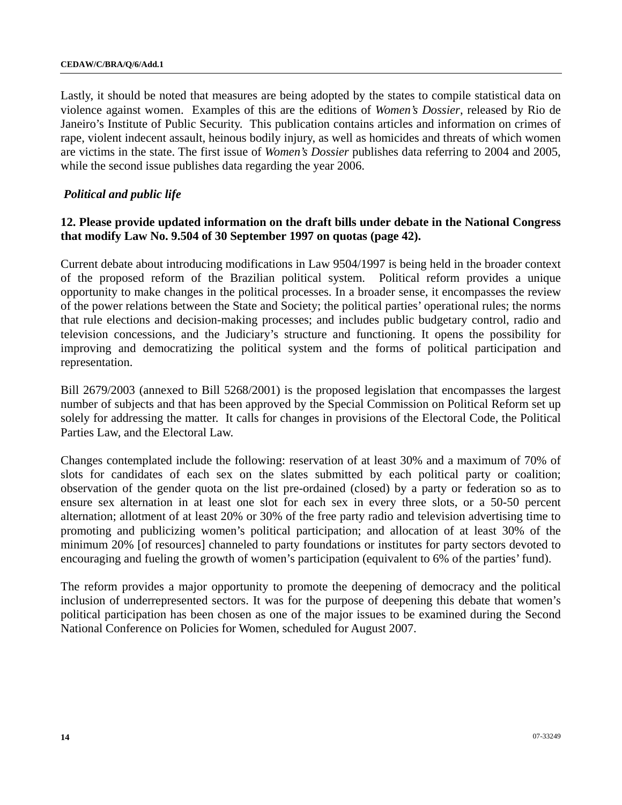Lastly, it should be noted that measures are being adopted by the states to compile statistical data on violence against women. Examples of this are the editions of *Women's Dossier*, released by Rio de Janeiro's Institute of Public Security. This publication contains articles and information on crimes of rape, violent indecent assault, heinous bodily injury, as well as homicides and threats of which women are victims in the state. The first issue of *Women's Dossier* publishes data referring to 2004 and 2005, while the second issue publishes data regarding the year 2006.

### *Political and public life*

### **12. Please provide updated information on the draft bills under debate in the National Congress that modify Law No. 9.504 of 30 September 1997 on quotas (page 42).**

Current debate about introducing modifications in Law 9504/1997 is being held in the broader context of the proposed reform of the Brazilian political system. Political reform provides a unique opportunity to make changes in the political processes. In a broader sense, it encompasses the review of the power relations between the State and Society; the political parties' operational rules; the norms that rule elections and decision-making processes; and includes public budgetary control, radio and television concessions, and the Judiciary's structure and functioning. It opens the possibility for improving and democratizing the political system and the forms of political participation and representation.

Bill 2679/2003 (annexed to Bill 5268/2001) is the proposed legislation that encompasses the largest number of subjects and that has been approved by the Special Commission on Political Reform set up solely for addressing the matter. It calls for changes in provisions of the Electoral Code, the Political Parties Law, and the Electoral Law.

Changes contemplated include the following: reservation of at least 30% and a maximum of 70% of slots for candidates of each sex on the slates submitted by each political party or coalition; observation of the gender quota on the list pre-ordained (closed) by a party or federation so as to ensure sex alternation in at least one slot for each sex in every three slots, or a 50-50 percent alternation; allotment of at least 20% or 30% of the free party radio and television advertising time to promoting and publicizing women's political participation; and allocation of at least 30% of the minimum 20% [of resources] channeled to party foundations or institutes for party sectors devoted to encouraging and fueling the growth of women's participation (equivalent to 6% of the parties' fund).

The reform provides a major opportunity to promote the deepening of democracy and the political inclusion of underrepresented sectors. It was for the purpose of deepening this debate that women's political participation has been chosen as one of the major issues to be examined during the Second National Conference on Policies for Women, scheduled for August 2007.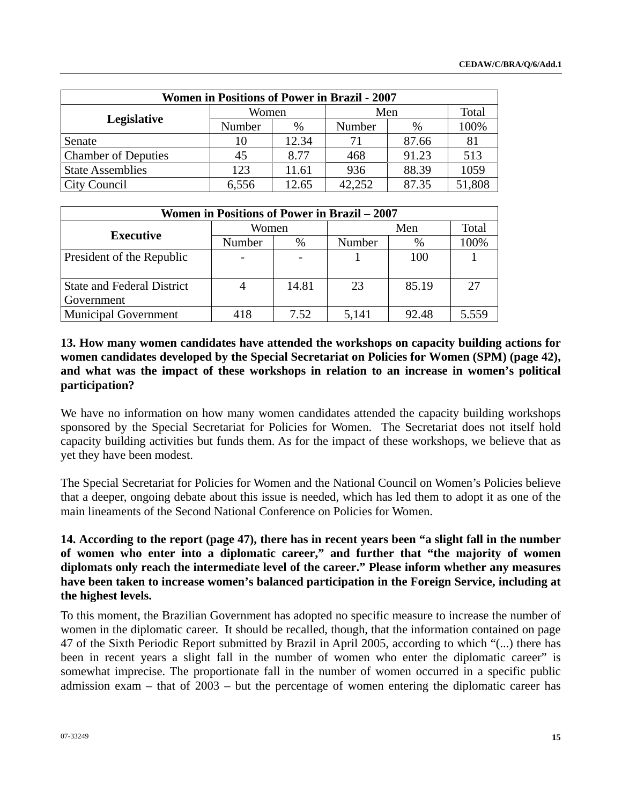| <b>Women in Positions of Power in Brazil - 2007</b> |        |       |        |               |        |  |  |  |
|-----------------------------------------------------|--------|-------|--------|---------------|--------|--|--|--|
|                                                     | Women  |       | Men    |               | Total  |  |  |  |
| Legislative                                         | Number | $\%$  | Number | $\frac{0}{0}$ | 100%   |  |  |  |
| Senate                                              | 10     | 12.34 | 71     | 87.66         | 81     |  |  |  |
| <b>Chamber of Deputies</b>                          | 45     | 8.77  | 468    | 91.23         | 513    |  |  |  |
| <b>State Assemblies</b>                             | 123    | 11.61 | 936    | 88.39         | 1059   |  |  |  |
| City Council                                        | 6.556  | 12.65 | 42.252 | 87.35         | 51,808 |  |  |  |

| <b>Women in Positions of Power in Brazil – 2007</b> |        |       |              |       |       |  |  |
|-----------------------------------------------------|--------|-------|--------------|-------|-------|--|--|
|                                                     | Women  |       | Total<br>Men |       |       |  |  |
| <b>Executive</b>                                    | Number | %     | Number       | $\%$  | 100%  |  |  |
| President of the Republic                           |        |       |              | 100   |       |  |  |
| <b>State and Federal District</b><br>Government     |        | 14.81 | 23           | 85.19 | 27    |  |  |
| <b>Municipal Government</b>                         | 418    | 7.52  | 5,141        | 92.48 | 5.559 |  |  |

**13. How many women candidates have attended the workshops on capacity building actions for women candidates developed by the Special Secretariat on Policies for Women (SPM) (page 42), and what was the impact of these workshops in relation to an increase in women's political participation?** 

We have no information on how many women candidates attended the capacity building workshops sponsored by the Special Secretariat for Policies for Women. The Secretariat does not itself hold capacity building activities but funds them. As for the impact of these workshops, we believe that as yet they have been modest.

The Special Secretariat for Policies for Women and the National Council on Women's Policies believe that a deeper, ongoing debate about this issue is needed, which has led them to adopt it as one of the main lineaments of the Second National Conference on Policies for Women.

# **14. According to the report (page 47), there has in recent years been "a slight fall in the number of women who enter into a diplomatic career," and further that "the majority of women diplomats only reach the intermediate level of the career." Please inform whether any measures have been taken to increase women's balanced participation in the Foreign Service, including at the highest levels.**

To this moment, the Brazilian Government has adopted no specific measure to increase the number of women in the diplomatic career. It should be recalled, though, that the information contained on page 47 of the Sixth Periodic Report submitted by Brazil in April 2005, according to which "(...) there has been in recent years a slight fall in the number of women who enter the diplomatic career" is somewhat imprecise. The proportionate fall in the number of women occurred in a specific public admission exam – that of 2003 – but the percentage of women entering the diplomatic career has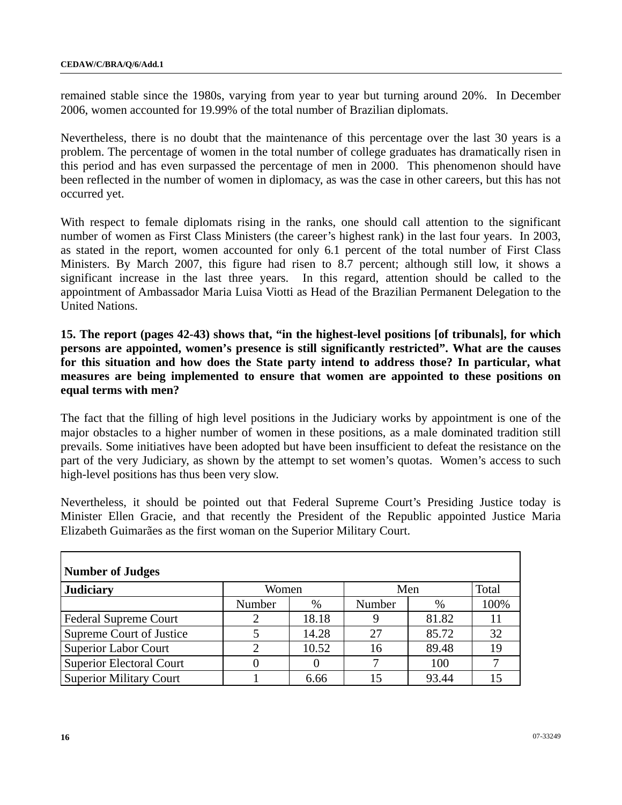remained stable since the 1980s, varying from year to year but turning around 20%. In December 2006, women accounted for 19.99% of the total number of Brazilian diplomats.

Nevertheless, there is no doubt that the maintenance of this percentage over the last 30 years is a problem. The percentage of women in the total number of college graduates has dramatically risen in this period and has even surpassed the percentage of men in 2000. This phenomenon should have been reflected in the number of women in diplomacy, as was the case in other careers, but this has not occurred yet.

With respect to female diplomats rising in the ranks, one should call attention to the significant number of women as First Class Ministers (the career's highest rank) in the last four years. In 2003, as stated in the report, women accounted for only 6.1 percent of the total number of First Class Ministers. By March 2007, this figure had risen to 8.7 percent; although still low, it shows a significant increase in the last three years. In this regard, attention should be called to the appointment of Ambassador Maria Luisa Viotti as Head of the Brazilian Permanent Delegation to the United Nations.

**15. The report (pages 42-43) shows that, "in the highest-level positions [of tribunals], for which persons are appointed, women's presence is still significantly restricted". What are the causes for this situation and how does the State party intend to address those? In particular, what measures are being implemented to ensure that women are appointed to these positions on equal terms with men?** 

The fact that the filling of high level positions in the Judiciary works by appointment is one of the major obstacles to a higher number of women in these positions, as a male dominated tradition still prevails. Some initiatives have been adopted but have been insufficient to defeat the resistance on the part of the very Judiciary, as shown by the attempt to set women's quotas. Women's access to such high-level positions has thus been very slow.

Nevertheless, it should be pointed out that Federal Supreme Court's Presiding Justice today is Minister Ellen Gracie, and that recently the President of the Republic appointed Justice Maria Elizabeth Guimarães as the first woman on the Superior Military Court.

| <b>Number of Judges</b>         |        |       |        |       |       |  |  |  |
|---------------------------------|--------|-------|--------|-------|-------|--|--|--|
| <b>Judiciary</b>                | Women  |       |        | Men   | Total |  |  |  |
|                                 | Number | $\%$  | Number | %     | 100%  |  |  |  |
| <b>Federal Supreme Court</b>    |        | 18.18 |        | 81.82 |       |  |  |  |
| Supreme Court of Justice        |        | 14.28 | 27     | 85.72 | 32    |  |  |  |
| <b>Superior Labor Court</b>     |        | 10.52 | 16     | 89.48 | 19    |  |  |  |
| <b>Superior Electoral Court</b> |        |       |        | 100   |       |  |  |  |
| <b>Superior Military Court</b>  |        | 6.66  |        | 93.44 | 15    |  |  |  |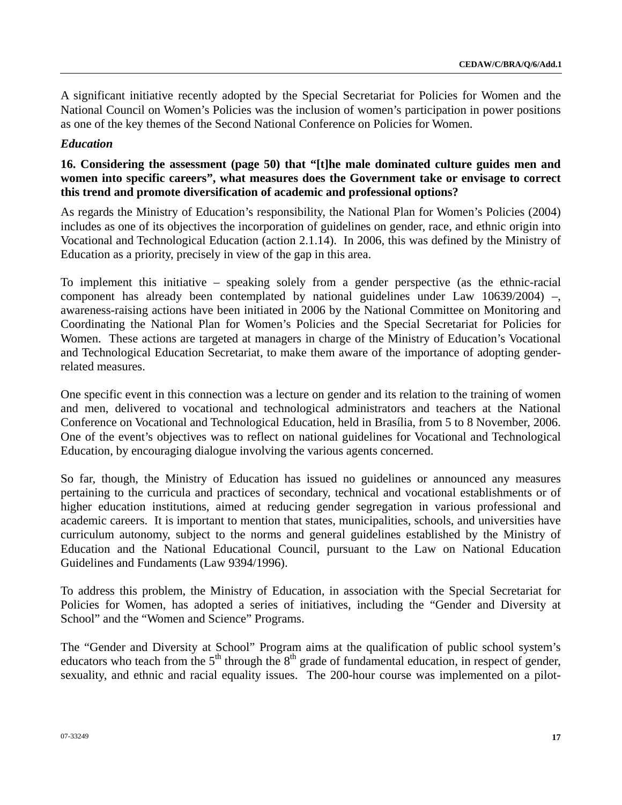A significant initiative recently adopted by the Special Secretariat for Policies for Women and the National Council on Women's Policies was the inclusion of women's participation in power positions as one of the key themes of the Second National Conference on Policies for Women.

### *Education*

## **16. Considering the assessment (page 50) that "[t]he male dominated culture guides men and women into specific careers", what measures does the Government take or envisage to correct this trend and promote diversification of academic and professional options?**

As regards the Ministry of Education's responsibility, the National Plan for Women's Policies (2004) includes as one of its objectives the incorporation of guidelines on gender, race, and ethnic origin into Vocational and Technological Education (action 2.1.14). In 2006, this was defined by the Ministry of Education as a priority, precisely in view of the gap in this area.

To implement this initiative – speaking solely from a gender perspective (as the ethnic-racial component has already been contemplated by national guidelines under Law 10639/2004) –, awareness-raising actions have been initiated in 2006 by the National Committee on Monitoring and Coordinating the National Plan for Women's Policies and the Special Secretariat for Policies for Women. These actions are targeted at managers in charge of the Ministry of Education's Vocational and Technological Education Secretariat, to make them aware of the importance of adopting genderrelated measures.

One specific event in this connection was a lecture on gender and its relation to the training of women and men, delivered to vocational and technological administrators and teachers at the National Conference on Vocational and Technological Education, held in Brasília, from 5 to 8 November, 2006. One of the event's objectives was to reflect on national guidelines for Vocational and Technological Education, by encouraging dialogue involving the various agents concerned.

So far, though, the Ministry of Education has issued no guidelines or announced any measures pertaining to the curricula and practices of secondary, technical and vocational establishments or of higher education institutions, aimed at reducing gender segregation in various professional and academic careers. It is important to mention that states, municipalities, schools, and universities have curriculum autonomy, subject to the norms and general guidelines established by the Ministry of Education and the National Educational Council, pursuant to the Law on National Education Guidelines and Fundaments (Law 9394/1996).

To address this problem, the Ministry of Education, in association with the Special Secretariat for Policies for Women, has adopted a series of initiatives, including the "Gender and Diversity at School" and the "Women and Science" Programs.

The "Gender and Diversity at School" Program aims at the qualification of public school system's educators who teach from the 5<sup>th</sup> through the 8<sup>th</sup> grade of fundamental education, in respect of gender, sexuality, and ethnic and racial equality issues. The 200-hour course was implemented on a pilot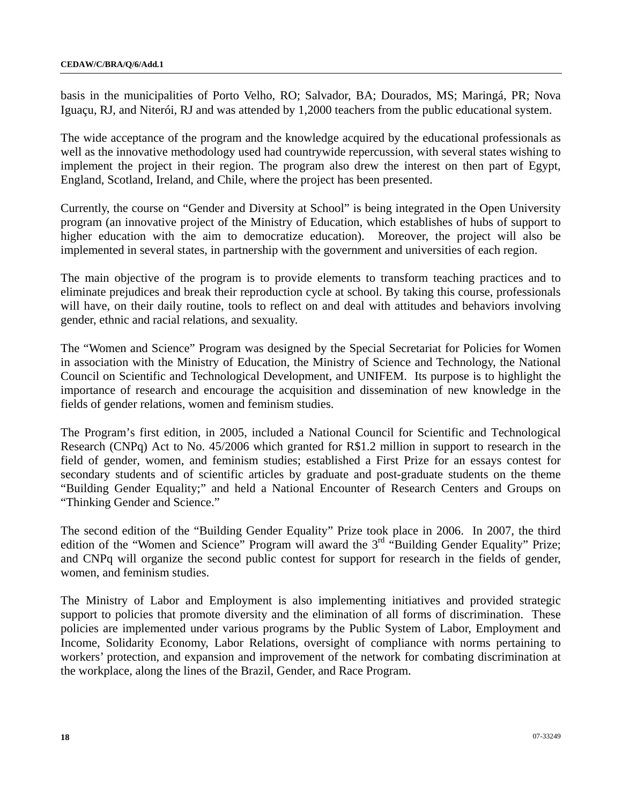basis in the municipalities of Porto Velho, RO; Salvador, BA; Dourados, MS; Maringá, PR; Nova Iguaçu, RJ, and Niterói, RJ and was attended by 1,2000 teachers from the public educational system.

The wide acceptance of the program and the knowledge acquired by the educational professionals as well as the innovative methodology used had countrywide repercussion, with several states wishing to implement the project in their region. The program also drew the interest on then part of Egypt, England, Scotland, Ireland, and Chile, where the project has been presented.

Currently, the course on "Gender and Diversity at School" is being integrated in the Open University program (an innovative project of the Ministry of Education, which establishes of hubs of support to higher education with the aim to democratize education). Moreover, the project will also be implemented in several states, in partnership with the government and universities of each region.

The main objective of the program is to provide elements to transform teaching practices and to eliminate prejudices and break their reproduction cycle at school. By taking this course, professionals will have, on their daily routine, tools to reflect on and deal with attitudes and behaviors involving gender, ethnic and racial relations, and sexuality.

The "Women and Science" Program was designed by the Special Secretariat for Policies for Women in association with the Ministry of Education, the Ministry of Science and Technology, the National Council on Scientific and Technological Development, and UNIFEM. Its purpose is to highlight the importance of research and encourage the acquisition and dissemination of new knowledge in the fields of gender relations, women and feminism studies.

The Program's first edition, in 2005, included a National Council for Scientific and Technological Research (CNPq) Act to No. 45/2006 which granted for R\$1.2 million in support to research in the field of gender, women, and feminism studies; established a First Prize for an essays contest for secondary students and of scientific articles by graduate and post-graduate students on the theme "Building Gender Equality;" and held a National Encounter of Research Centers and Groups on "Thinking Gender and Science."

The second edition of the "Building Gender Equality" Prize took place in 2006. In 2007, the third edition of the "Women and Science" Program will award the 3<sup>rd</sup> "Building Gender Equality" Prize; and CNPq will organize the second public contest for support for research in the fields of gender, women, and feminism studies.

The Ministry of Labor and Employment is also implementing initiatives and provided strategic support to policies that promote diversity and the elimination of all forms of discrimination. These policies are implemented under various programs by the Public System of Labor, Employment and Income, Solidarity Economy, Labor Relations, oversight of compliance with norms pertaining to workers' protection, and expansion and improvement of the network for combating discrimination at the workplace, along the lines of the Brazil, Gender, and Race Program.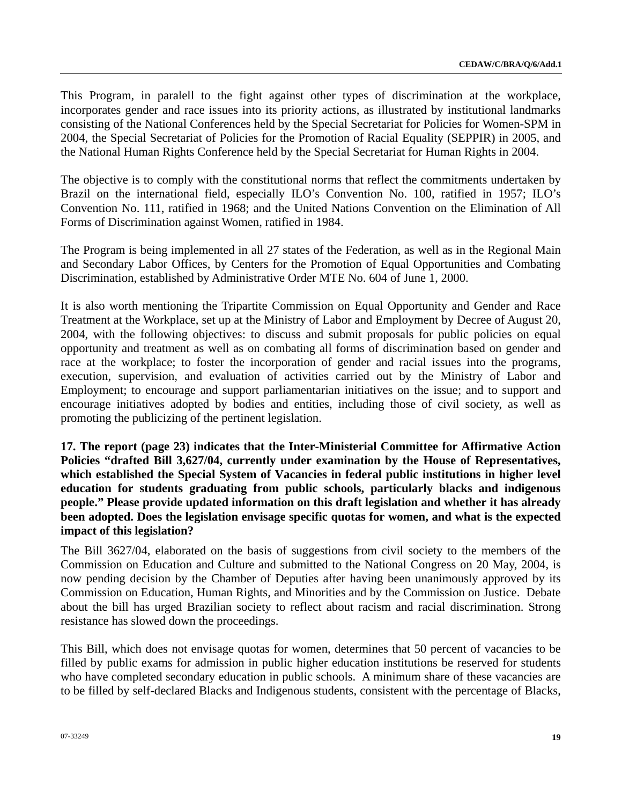This Program, in paralell to the fight against other types of discrimination at the workplace, incorporates gender and race issues into its priority actions, as illustrated by institutional landmarks consisting of the National Conferences held by the Special Secretariat for Policies for Women-SPM in 2004, the Special Secretariat of Policies for the Promotion of Racial Equality (SEPPIR) in 2005, and the National Human Rights Conference held by the Special Secretariat for Human Rights in 2004.

The objective is to comply with the constitutional norms that reflect the commitments undertaken by Brazil on the international field, especially ILO's Convention No. 100, ratified in 1957; ILO's Convention No. 111, ratified in 1968; and the United Nations Convention on the Elimination of All Forms of Discrimination against Women, ratified in 1984.

The Program is being implemented in all 27 states of the Federation, as well as in the Regional Main and Secondary Labor Offices, by Centers for the Promotion of Equal Opportunities and Combating Discrimination, established by Administrative Order MTE No. 604 of June 1, 2000.

It is also worth mentioning the Tripartite Commission on Equal Opportunity and Gender and Race Treatment at the Workplace, set up at the Ministry of Labor and Employment by Decree of August 20, 2004, with the following objectives: to discuss and submit proposals for public policies on equal opportunity and treatment as well as on combating all forms of discrimination based on gender and race at the workplace; to foster the incorporation of gender and racial issues into the programs, execution, supervision, and evaluation of activities carried out by the Ministry of Labor and Employment; to encourage and support parliamentarian initiatives on the issue; and to support and encourage initiatives adopted by bodies and entities, including those of civil society, as well as promoting the publicizing of the pertinent legislation.

**17. The report (page 23) indicates that the Inter-Ministerial Committee for Affirmative Action Policies "drafted Bill 3,627/04, currently under examination by the House of Representatives, which established the Special System of Vacancies in federal public institutions in higher level education for students graduating from public schools, particularly blacks and indigenous people." Please provide updated information on this draft legislation and whether it has already been adopted. Does the legislation envisage specific quotas for women, and what is the expected impact of this legislation?** 

The Bill 3627/04, elaborated on the basis of suggestions from civil society to the members of the Commission on Education and Culture and submitted to the National Congress on 20 May, 2004, is now pending decision by the Chamber of Deputies after having been unanimously approved by its Commission on Education, Human Rights, and Minorities and by the Commission on Justice. Debate about the bill has urged Brazilian society to reflect about racism and racial discrimination. Strong resistance has slowed down the proceedings.

This Bill, which does not envisage quotas for women, determines that 50 percent of vacancies to be filled by public exams for admission in public higher education institutions be reserved for students who have completed secondary education in public schools. A minimum share of these vacancies are to be filled by self-declared Blacks and Indigenous students, consistent with the percentage of Blacks,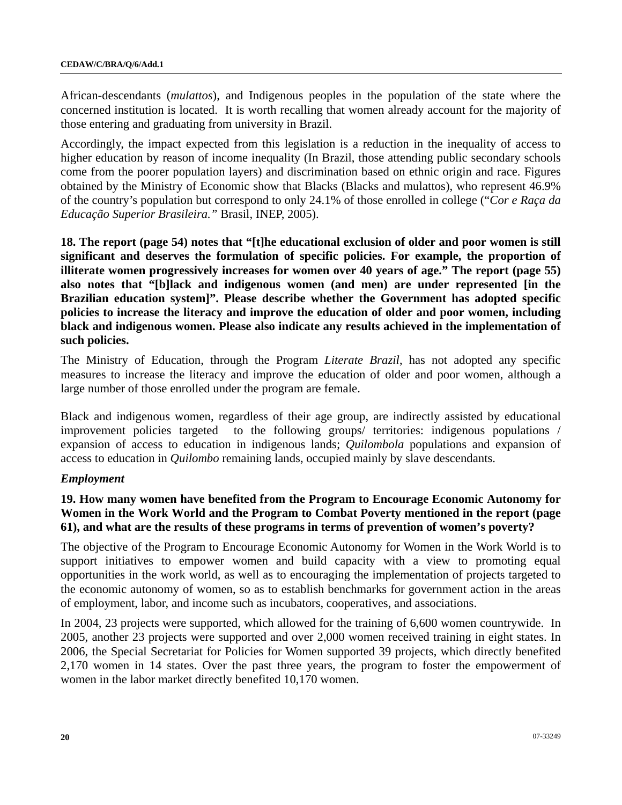African-descendants (*mulattos*), and Indigenous peoples in the population of the state where the concerned institution is located. It is worth recalling that women already account for the majority of those entering and graduating from university in Brazil.

Accordingly, the impact expected from this legislation is a reduction in the inequality of access to higher education by reason of income inequality (In Brazil, those attending public secondary schools come from the poorer population layers) and discrimination based on ethnic origin and race. Figures obtained by the Ministry of Economic show that Blacks (Blacks and mulattos), who represent 46.9% of the country's population but correspond to only 24.1% of those enrolled in college ("*Cor e Raça da Educação Superior Brasileira."* Brasil, INEP, 2005).

**18. The report (page 54) notes that "[t]he educational exclusion of older and poor women is still significant and deserves the formulation of specific policies. For example, the proportion of illiterate women progressively increases for women over 40 years of age." The report (page 55) also notes that "[b]lack and indigenous women (and men) are under represented [in the Brazilian education system]". Please describe whether the Government has adopted specific policies to increase the literacy and improve the education of older and poor women, including black and indigenous women. Please also indicate any results achieved in the implementation of such policies.** 

The Ministry of Education, through the Program *Literate Brazil*, has not adopted any specific measures to increase the literacy and improve the education of older and poor women, although a large number of those enrolled under the program are female.

Black and indigenous women, regardless of their age group, are indirectly assisted by educational improvement policies targeted to the following groups/ territories: indigenous populations / expansion of access to education in indigenous lands; *Quilombola* populations and expansion of access to education in *Quilombo* remaining lands, occupied mainly by slave descendants.

## *Employment*

# **19. How many women have benefited from the Program to Encourage Economic Autonomy for Women in the Work World and the Program to Combat Poverty mentioned in the report (page 61), and what are the results of these programs in terms of prevention of women's poverty?**

The objective of the Program to Encourage Economic Autonomy for Women in the Work World is to support initiatives to empower women and build capacity with a view to promoting equal opportunities in the work world, as well as to encouraging the implementation of projects targeted to the economic autonomy of women, so as to establish benchmarks for government action in the areas of employment, labor, and income such as incubators, cooperatives, and associations.

In 2004, 23 projects were supported, which allowed for the training of 6,600 women countrywide. In 2005, another 23 projects were supported and over 2,000 women received training in eight states. In 2006, the Special Secretariat for Policies for Women supported 39 projects, which directly benefited 2,170 women in 14 states. Over the past three years, the program to foster the empowerment of women in the labor market directly benefited 10,170 women.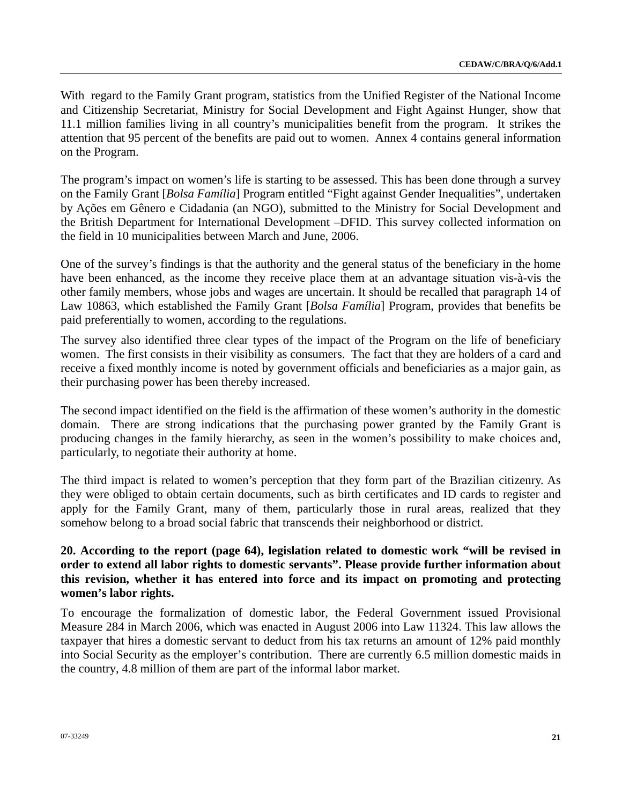With regard to the Family Grant program, statistics from the Unified Register of the National Income and Citizenship Secretariat, Ministry for Social Development and Fight Against Hunger, show that 11.1 million families living in all country's municipalities benefit from the program. It strikes the attention that 95 percent of the benefits are paid out to women. Annex 4 contains general information on the Program.

The program's impact on women's life is starting to be assessed. This has been done through a survey on the Family Grant [*Bolsa Família*] Program entitled "Fight against Gender Inequalities", undertaken by Ações em Gênero e Cidadania (an NGO), submitted to the Ministry for Social Development and the British Department for International Development –DFID. This survey collected information on the field in 10 municipalities between March and June, 2006.

One of the survey's findings is that the authority and the general status of the beneficiary in the home have been enhanced, as the income they receive place them at an advantage situation vis-à-vis the other family members, whose jobs and wages are uncertain. It should be recalled that paragraph 14 of Law 10863, which established the Family Grant [*Bolsa Família*] Program, provides that benefits be paid preferentially to women, according to the regulations.

The survey also identified three clear types of the impact of the Program on the life of beneficiary women. The first consists in their visibility as consumers. The fact that they are holders of a card and receive a fixed monthly income is noted by government officials and beneficiaries as a major gain, as their purchasing power has been thereby increased.

The second impact identified on the field is the affirmation of these women's authority in the domestic domain. There are strong indications that the purchasing power granted by the Family Grant is producing changes in the family hierarchy, as seen in the women's possibility to make choices and, particularly, to negotiate their authority at home.

The third impact is related to women's perception that they form part of the Brazilian citizenry. As they were obliged to obtain certain documents, such as birth certificates and ID cards to register and apply for the Family Grant, many of them, particularly those in rural areas, realized that they somehow belong to a broad social fabric that transcends their neighborhood or district.

# **20. According to the report (page 64), legislation related to domestic work "will be revised in order to extend all labor rights to domestic servants". Please provide further information about this revision, whether it has entered into force and its impact on promoting and protecting women's labor rights.**

To encourage the formalization of domestic labor, the Federal Government issued Provisional Measure 284 in March 2006, which was enacted in August 2006 into Law 11324. This law allows the taxpayer that hires a domestic servant to deduct from his tax returns an amount of 12% paid monthly into Social Security as the employer's contribution. There are currently 6.5 million domestic maids in the country, 4.8 million of them are part of the informal labor market.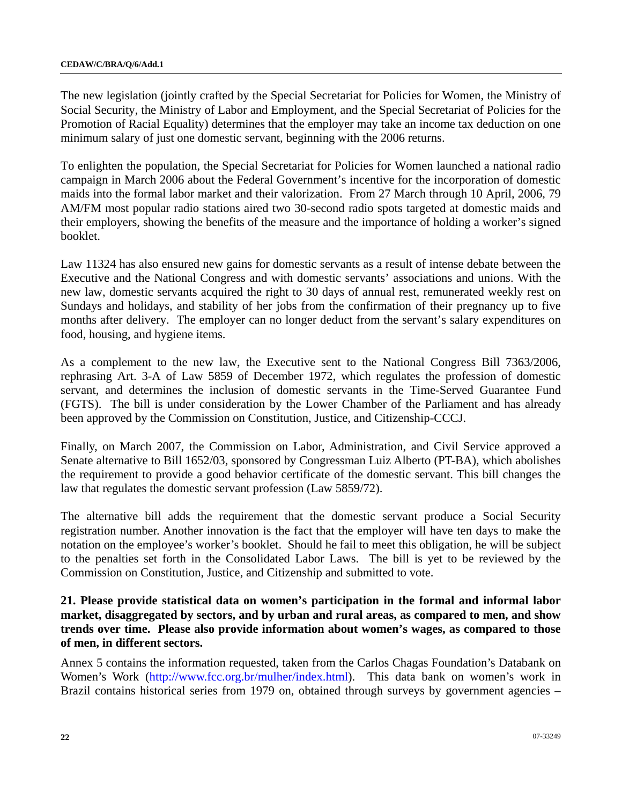The new legislation (jointly crafted by the Special Secretariat for Policies for Women, the Ministry of Social Security, the Ministry of Labor and Employment, and the Special Secretariat of Policies for the Promotion of Racial Equality) determines that the employer may take an income tax deduction on one minimum salary of just one domestic servant, beginning with the 2006 returns.

To enlighten the population, the Special Secretariat for Policies for Women launched a national radio campaign in March 2006 about the Federal Government's incentive for the incorporation of domestic maids into the formal labor market and their valorization. From 27 March through 10 April, 2006, 79 AM/FM most popular radio stations aired two 30-second radio spots targeted at domestic maids and their employers, showing the benefits of the measure and the importance of holding a worker's signed booklet.

Law 11324 has also ensured new gains for domestic servants as a result of intense debate between the Executive and the National Congress and with domestic servants' associations and unions. With the new law, domestic servants acquired the right to 30 days of annual rest, remunerated weekly rest on Sundays and holidays, and stability of her jobs from the confirmation of their pregnancy up to five months after delivery. The employer can no longer deduct from the servant's salary expenditures on food, housing, and hygiene items.

As a complement to the new law, the Executive sent to the National Congress Bill 7363/2006, rephrasing Art. 3-A of Law 5859 of December 1972, which regulates the profession of domestic servant, and determines the inclusion of domestic servants in the Time-Served Guarantee Fund (FGTS). The bill is under consideration by the Lower Chamber of the Parliament and has already been approved by the Commission on Constitution, Justice, and Citizenship-CCCJ.

Finally, on March 2007, the Commission on Labor, Administration, and Civil Service approved a Senate alternative to Bill 1652/03, sponsored by Congressman Luiz Alberto (PT-BA), which abolishes the requirement to provide a good behavior certificate of the domestic servant. This bill changes the law that regulates the domestic servant profession (Law 5859/72).

The alternative bill adds the requirement that the domestic servant produce a Social Security registration number. Another innovation is the fact that the employer will have ten days to make the notation on the employee's worker's booklet. Should he fail to meet this obligation, he will be subject to the penalties set forth in the Consolidated Labor Laws. The bill is yet to be reviewed by the Commission on Constitution, Justice, and Citizenship and submitted to vote.

## **21. Please provide statistical data on women's participation in the formal and informal labor market, disaggregated by sectors, and by urban and rural areas, as compared to men, and show trends over time. Please also provide information about women's wages, as compared to those of men, in different sectors.**

Annex 5 contains the information requested, taken from the Carlos Chagas Foundation's Databank on Women's Work [\(http://www.fcc.org.br/mulher/index.html\)](http://www.fcc.org.br/mulher/index.html). This data bank on women's work in Brazil contains historical series from 1979 on, obtained through surveys by government agencies –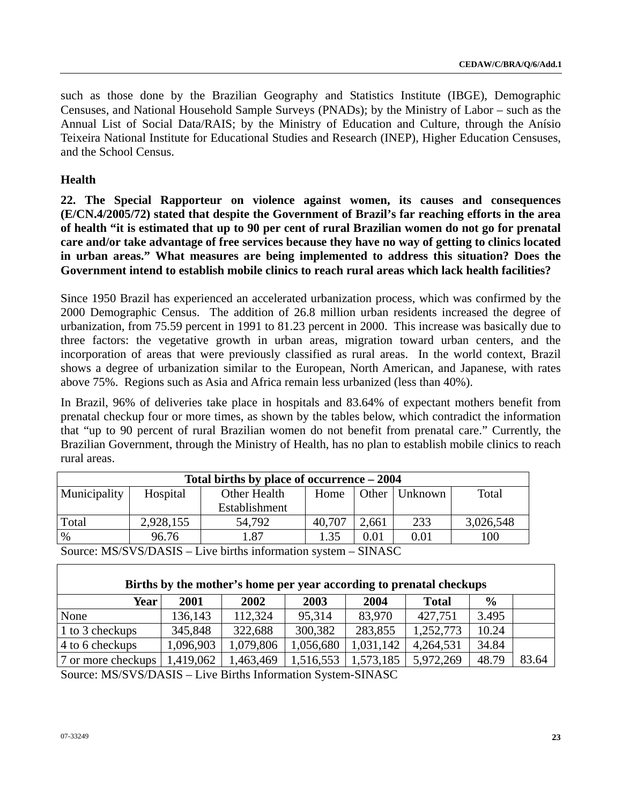such as those done by the Brazilian Geography and Statistics Institute (IBGE), Demographic Censuses, and National Household Sample Surveys (PNADs); by the Ministry of Labor – such as the Annual List of Social Data/RAIS; by the Ministry of Education and Culture, through the Anísio Teixeira National Institute for Educational Studies and Research (INEP), Higher Education Censuses, and the School Census.

# **Health**

**22. The Special Rapporteur on violence against women, its causes and consequences (E/CN.4/2005/72) stated that despite the Government of Brazil's far reaching efforts in the area of health "it is estimated that up to 90 per cent of rural Brazilian women do not go for prenatal care and/or take advantage of free services because they have no way of getting to clinics located in urban areas." What measures are being implemented to address this situation? Does the Government intend to establish mobile clinics to reach rural areas which lack health facilities?** 

Since 1950 Brazil has experienced an accelerated urbanization process, which was confirmed by the 2000 Demographic Census. The addition of 26.8 million urban residents increased the degree of urbanization, from 75.59 percent in 1991 to 81.23 percent in 2000. This increase was basically due to three factors: the vegetative growth in urban areas, migration toward urban centers, and the incorporation of areas that were previously classified as rural areas. In the world context, Brazil shows a degree of urbanization similar to the European, North American, and Japanese, with rates above 75%. Regions such as Asia and Africa remain less urbanized (less than 40%).

In Brazil, 96% of deliveries take place in hospitals and 83.64% of expectant mothers benefit from prenatal checkup four or more times, as shown by the tables below, which contradict the information that "up to 90 percent of rural Brazilian women do not benefit from prenatal care." Currently, the Brazilian Government, through the Ministry of Health, has no plan to establish mobile clinics to reach rural areas.

| Total births by place of occurrence $-2004$ |           |               |        |       |         |           |  |
|---------------------------------------------|-----------|---------------|--------|-------|---------|-----------|--|
| Municipality                                | Hospital  | Other Health  | Home   | Other | Unknown | Total     |  |
|                                             |           | Establishment |        |       |         |           |  |
| Total                                       | 2,928,155 | 54.792        | 40,707 | 2,661 | 233     | 3,026,548 |  |
| $\%$                                        | 96.76     | 1.87          | 1.35   | 0.01  | 0.01    | 100       |  |
| $C_{\text{max}}$ , MO/CVO DACIO             |           |               |        |       |         |           |  |

Source: MS/SVS/DASIS – Live births information system – SINASC

| Births by the mother's home per year according to prenatal checkups                                                      |           |           |           |           |              |               |       |
|--------------------------------------------------------------------------------------------------------------------------|-----------|-----------|-----------|-----------|--------------|---------------|-------|
| <b>Year</b> l                                                                                                            | 2001      | 2002      | 2003      | 2004      | <b>Total</b> | $\frac{6}{9}$ |       |
| None                                                                                                                     | 136,143   | 112,324   | 95,314    | 83,970    | 427,751      | 3.495         |       |
| 1 to 3 checkups                                                                                                          | 345,848   | 322,688   | 300,382   | 283,855   | 1,252,773    | 10.24         |       |
| 4 to 6 checkups                                                                                                          | 1,096,903 | 1,079,806 | 1,056,680 | 1,031,142 | 4,264,531    | 34.84         |       |
| 7 or more checkups                                                                                                       | 1,419,062 | 1,463,469 | 1,516,553 | 1,573,185 | 5,972,269    | 48.79         | 83.64 |
| $\Gamma_{\text{correspond}}$ MC/CVC/DACIC $\Gamma_{\text{avg}}$ $\Gamma_{\text{true}}$ but be Information Cystem CINIACC |           |           |           |           |              |               |       |

Source: MS/SVS/DASIS – Live Births Information System-SINASC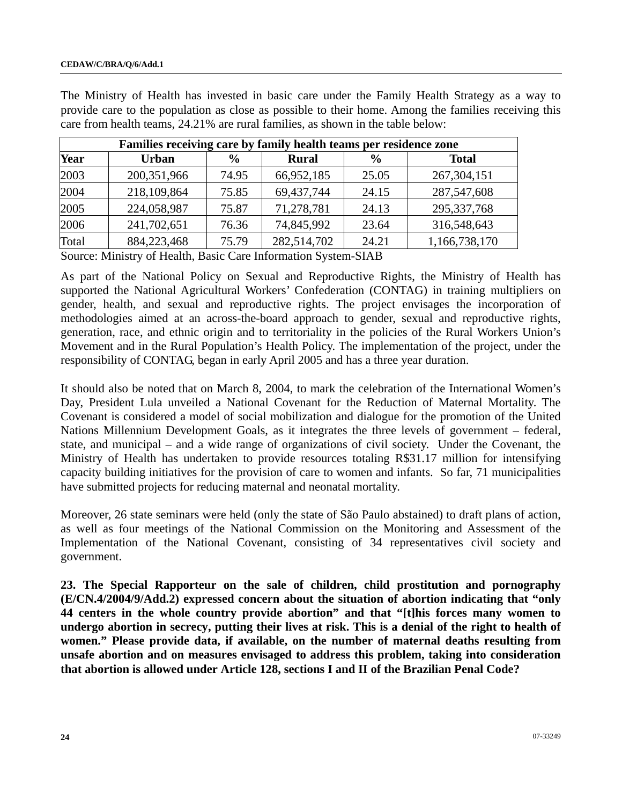| Families receiving care by family health teams per residence zone |               |               |              |               |               |  |  |  |
|-------------------------------------------------------------------|---------------|---------------|--------------|---------------|---------------|--|--|--|
| Year                                                              | <b>Urban</b>  | $\frac{0}{0}$ | <b>Rural</b> | $\frac{6}{9}$ | <b>Total</b>  |  |  |  |
| 2003                                                              | 200, 351, 966 | 74.95         | 66,952,185   | 25.05         | 267, 304, 151 |  |  |  |
| 2004                                                              | 218,109,864   | 75.85         | 69,437,744   | 24.15         | 287,547,608   |  |  |  |
| 2005                                                              | 224,058,987   | 75.87         | 71,278,781   | 24.13         | 295, 337, 768 |  |  |  |
| 2006                                                              | 241,702,651   | 76.36         | 74,845,992   | 23.64         | 316,548,643   |  |  |  |
| Total                                                             | 884,223,468   | 75.79         | 282,514,702  | 24.21         | 1,166,738,170 |  |  |  |

The Ministry of Health has invested in basic care under the Family Health Strategy as a way to provide care to the population as close as possible to their home. Among the families receiving this care from health teams, 24.21% are rural families, as shown in the table below:

Source: Ministry of Health, Basic Care Information System-SIAB

As part of the National Policy on Sexual and Reproductive Rights, the Ministry of Health has supported the National Agricultural Workers' Confederation (CONTAG) in training multipliers on gender, health, and sexual and reproductive rights. The project envisages the incorporation of methodologies aimed at an across-the-board approach to gender, sexual and reproductive rights, generation, race, and ethnic origin and to territoriality in the policies of the Rural Workers Union's Movement and in the Rural Population's Health Policy. The implementation of the project, under the responsibility of CONTAG, began in early April 2005 and has a three year duration.

It should also be noted that on March 8, 2004, to mark the celebration of the International Women's Day, President Lula unveiled a National Covenant for the Reduction of Maternal Mortality. The Covenant is considered a model of social mobilization and dialogue for the promotion of the United Nations Millennium Development Goals, as it integrates the three levels of government – federal, state, and municipal – and a wide range of organizations of civil society. Under the Covenant, the Ministry of Health has undertaken to provide resources totaling R\$31.17 million for intensifying capacity building initiatives for the provision of care to women and infants. So far, 71 municipalities have submitted projects for reducing maternal and neonatal mortality.

Moreover, 26 state seminars were held (only the state of São Paulo abstained) to draft plans of action, as well as four meetings of the National Commission on the Monitoring and Assessment of the Implementation of the National Covenant, consisting of 34 representatives civil society and government.

**23. The Special Rapporteur on the sale of children, child prostitution and pornography (E/CN.4/2004/9/Add.2) expressed concern about the situation of abortion indicating that "only 44 centers in the whole country provide abortion" and that "[t]his forces many women to undergo abortion in secrecy, putting their lives at risk. This is a denial of the right to health of women." Please provide data, if available, on the number of maternal deaths resulting from unsafe abortion and on measures envisaged to address this problem, taking into consideration that abortion is allowed under Article 128, sections I and II of the Brazilian Penal Code?**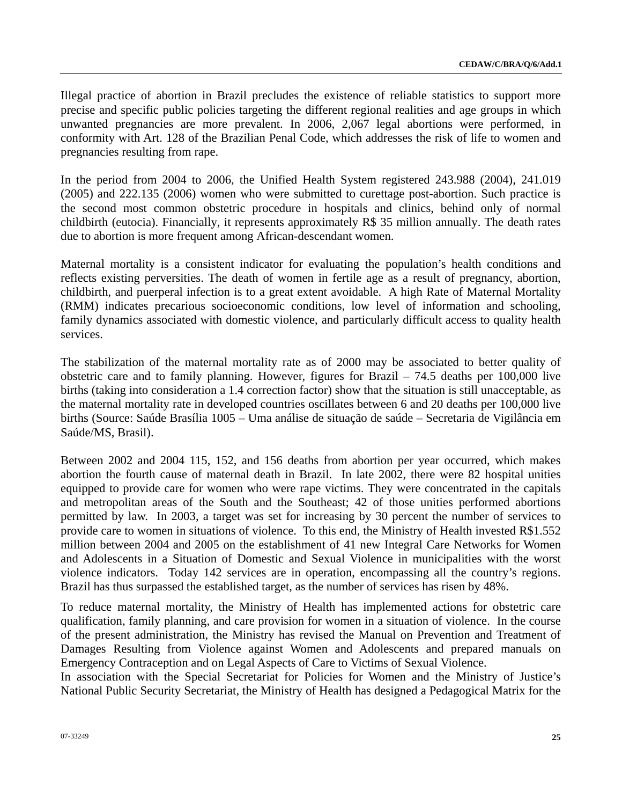Illegal practice of abortion in Brazil precludes the existence of reliable statistics to support more precise and specific public policies targeting the different regional realities and age groups in which unwanted pregnancies are more prevalent. In 2006, 2,067 legal abortions were performed, in conformity with Art. 128 of the Brazilian Penal Code, which addresses the risk of life to women and pregnancies resulting from rape.

In the period from 2004 to 2006, the Unified Health System registered 243.988 (2004), 241.019 (2005) and 222.135 (2006) women who were submitted to curettage post-abortion. Such practice is the second most common obstetric procedure in hospitals and clinics, behind only of normal childbirth (eutocia). Financially, it represents approximately R\$ 35 million annually. The death rates due to abortion is more frequent among African-descendant women.

Maternal mortality is a consistent indicator for evaluating the population's health conditions and reflects existing perversities. The death of women in fertile age as a result of pregnancy, abortion, childbirth, and puerperal infection is to a great extent avoidable. A high Rate of Maternal Mortality (RMM) indicates precarious socioeconomic conditions, low level of information and schooling, family dynamics associated with domestic violence, and particularly difficult access to quality health services.

The stabilization of the maternal mortality rate as of 2000 may be associated to better quality of obstetric care and to family planning. However, figures for Brazil – 74.5 deaths per 100,000 live births (taking into consideration a 1.4 correction factor) show that the situation is still unacceptable, as the maternal mortality rate in developed countries oscillates between 6 and 20 deaths per 100,000 live births (Source: Saúde Brasília 1005 – Uma análise de situação de saúde – Secretaria de Vigilância em Saúde/MS, Brasil).

Between 2002 and 2004 115, 152, and 156 deaths from abortion per year occurred, which makes abortion the fourth cause of maternal death in Brazil. In late 2002, there were 82 hospital unities equipped to provide care for women who were rape victims. They were concentrated in the capitals and metropolitan areas of the South and the Southeast; 42 of those unities performed abortions permitted by law. In 2003, a target was set for increasing by 30 percent the number of services to provide care to women in situations of violence. To this end, the Ministry of Health invested R\$1.552 million between 2004 and 2005 on the establishment of 41 new Integral Care Networks for Women and Adolescents in a Situation of Domestic and Sexual Violence in municipalities with the worst violence indicators. Today 142 services are in operation, encompassing all the country's regions. Brazil has thus surpassed the established target, as the number of services has risen by 48%.

To reduce maternal mortality, the Ministry of Health has implemented actions for obstetric care qualification, family planning, and care provision for women in a situation of violence. In the course of the present administration, the Ministry has revised the Manual on Prevention and Treatment of Damages Resulting from Violence against Women and Adolescents and prepared manuals on Emergency Contraception and on Legal Aspects of Care to Victims of Sexual Violence.

In association with the Special Secretariat for Policies for Women and the Ministry of Justice's National Public Security Secretariat, the Ministry of Health has designed a Pedagogical Matrix for the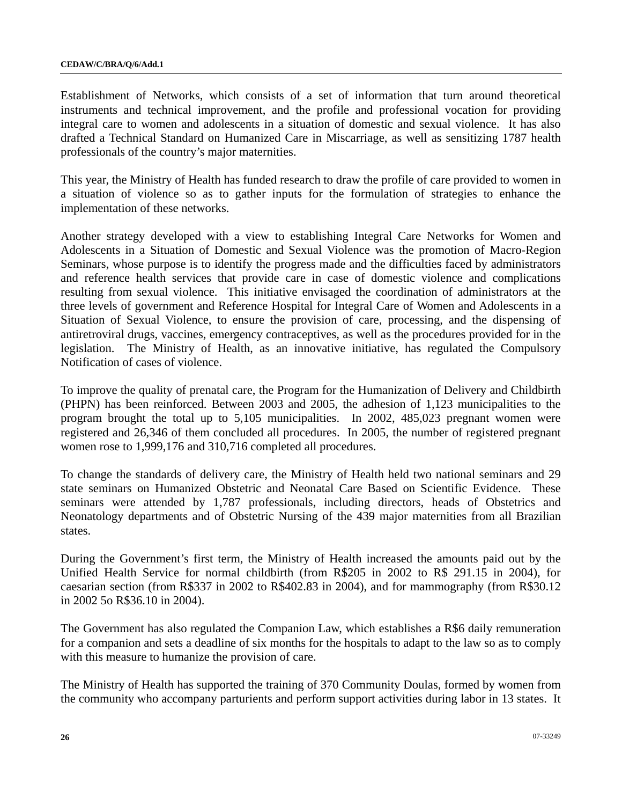Establishment of Networks, which consists of a set of information that turn around theoretical instruments and technical improvement, and the profile and professional vocation for providing integral care to women and adolescents in a situation of domestic and sexual violence. It has also drafted a Technical Standard on Humanized Care in Miscarriage, as well as sensitizing 1787 health professionals of the country's major maternities.

This year, the Ministry of Health has funded research to draw the profile of care provided to women in a situation of violence so as to gather inputs for the formulation of strategies to enhance the implementation of these networks.

Another strategy developed with a view to establishing Integral Care Networks for Women and Adolescents in a Situation of Domestic and Sexual Violence was the promotion of Macro-Region Seminars, whose purpose is to identify the progress made and the difficulties faced by administrators and reference health services that provide care in case of domestic violence and complications resulting from sexual violence. This initiative envisaged the coordination of administrators at the three levels of government and Reference Hospital for Integral Care of Women and Adolescents in a Situation of Sexual Violence, to ensure the provision of care, processing, and the dispensing of antiretroviral drugs, vaccines, emergency contraceptives, as well as the procedures provided for in the legislation. The Ministry of Health, as an innovative initiative, has regulated the Compulsory Notification of cases of violence.

To improve the quality of prenatal care, the Program for the Humanization of Delivery and Childbirth (PHPN) has been reinforced. Between 2003 and 2005, the adhesion of 1,123 municipalities to the program brought the total up to 5,105 municipalities. In 2002, 485,023 pregnant women were registered and 26,346 of them concluded all procedures. In 2005, the number of registered pregnant women rose to 1,999,176 and 310,716 completed all procedures.

To change the standards of delivery care, the Ministry of Health held two national seminars and 29 state seminars on Humanized Obstetric and Neonatal Care Based on Scientific Evidence. These seminars were attended by 1,787 professionals, including directors, heads of Obstetrics and Neonatology departments and of Obstetric Nursing of the 439 major maternities from all Brazilian states.

During the Government's first term, the Ministry of Health increased the amounts paid out by the Unified Health Service for normal childbirth (from R\$205 in 2002 to R\$ 291.15 in 2004), for caesarian section (from R\$337 in 2002 to R\$402.83 in 2004), and for mammography (from R\$30.12 in 2002 5o R\$36.10 in 2004).

The Government has also regulated the Companion Law, which establishes a R\$6 daily remuneration for a companion and sets a deadline of six months for the hospitals to adapt to the law so as to comply with this measure to humanize the provision of care.

The Ministry of Health has supported the training of 370 Community Doulas, formed by women from the community who accompany parturients and perform support activities during labor in 13 states. It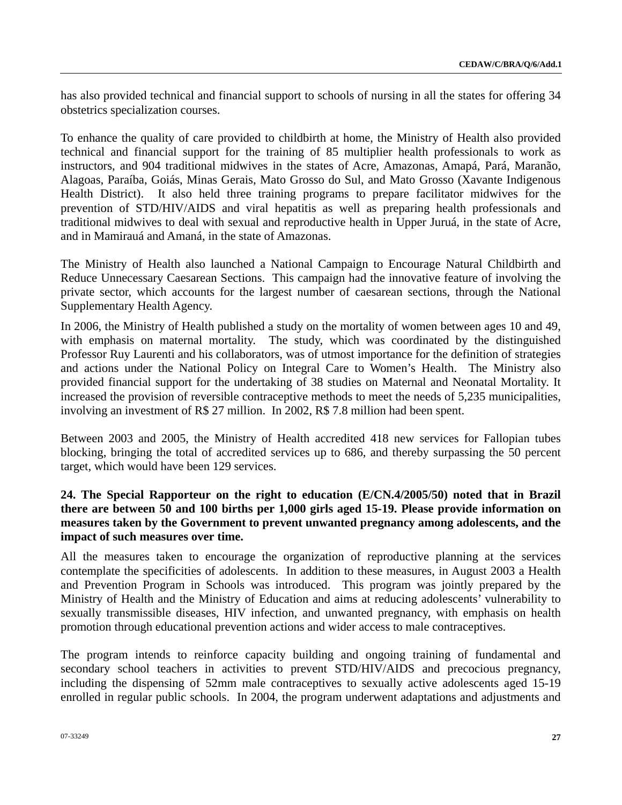has also provided technical and financial support to schools of nursing in all the states for offering 34 obstetrics specialization courses.

To enhance the quality of care provided to childbirth at home, the Ministry of Health also provided technical and financial support for the training of 85 multiplier health professionals to work as instructors, and 904 traditional midwives in the states of Acre, Amazonas, Amapá, Pará, Maranão, Alagoas, Paraíba, Goiás, Minas Gerais, Mato Grosso do Sul, and Mato Grosso (Xavante Indigenous Health District). It also held three training programs to prepare facilitator midwives for the prevention of STD/HIV/AIDS and viral hepatitis as well as preparing health professionals and traditional midwives to deal with sexual and reproductive health in Upper Juruá, in the state of Acre, and in Mamirauá and Amaná, in the state of Amazonas.

The Ministry of Health also launched a National Campaign to Encourage Natural Childbirth and Reduce Unnecessary Caesarean Sections. This campaign had the innovative feature of involving the private sector, which accounts for the largest number of caesarean sections, through the National Supplementary Health Agency.

In 2006, the Ministry of Health published a study on the mortality of women between ages 10 and 49, with emphasis on maternal mortality. The study, which was coordinated by the distinguished Professor Ruy Laurenti and his collaborators, was of utmost importance for the definition of strategies and actions under the National Policy on Integral Care to Women's Health. The Ministry also provided financial support for the undertaking of 38 studies on Maternal and Neonatal Mortality. It increased the provision of reversible contraceptive methods to meet the needs of 5,235 municipalities, involving an investment of R\$ 27 million. In 2002, R\$ 7.8 million had been spent.

Between 2003 and 2005, the Ministry of Health accredited 418 new services for Fallopian tubes blocking, bringing the total of accredited services up to 686, and thereby surpassing the 50 percent target, which would have been 129 services.

# **24. The Special Rapporteur on the right to education (E/CN.4/2005/50) noted that in Brazil there are between 50 and 100 births per 1,000 girls aged 15-19. Please provide information on measures taken by the Government to prevent unwanted pregnancy among adolescents, and the impact of such measures over time.**

All the measures taken to encourage the organization of reproductive planning at the services contemplate the specificities of adolescents. In addition to these measures, in August 2003 a Health and Prevention Program in Schools was introduced. This program was jointly prepared by the Ministry of Health and the Ministry of Education and aims at reducing adolescents' vulnerability to sexually transmissible diseases, HIV infection, and unwanted pregnancy, with emphasis on health promotion through educational prevention actions and wider access to male contraceptives.

The program intends to reinforce capacity building and ongoing training of fundamental and secondary school teachers in activities to prevent STD/HIV/AIDS and precocious pregnancy, including the dispensing of 52mm male contraceptives to sexually active adolescents aged 15-19 enrolled in regular public schools. In 2004, the program underwent adaptations and adjustments and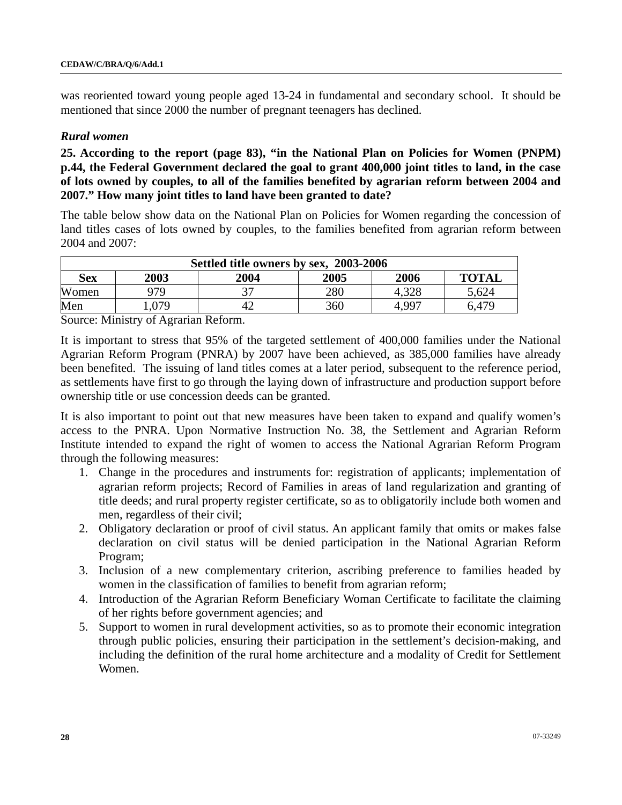was reoriented toward young people aged 13-24 in fundamental and secondary school. It should be mentioned that since 2000 the number of pregnant teenagers has declined.

#### *Rural women*

**25. According to the report (page 83), "in the National Plan on Policies for Women (PNPM) p.44, the Federal Government declared the goal to grant 400,000 joint titles to land, in the case of lots owned by couples, to all of the families benefited by agrarian reform between 2004 and 2007." How many joint titles to land have been granted to date?** 

The table below show data on the National Plan on Policies for Women regarding the concession of land titles cases of lots owned by couples, to the families benefited from agrarian reform between 2004 and 2007:

| Settled title owners by sex, 2003-2006 |             |      |      |                   |              |  |
|----------------------------------------|-------------|------|------|-------------------|--------------|--|
| Sex                                    | <b>2003</b> | 2004 | 2005 | 2006              | <b>TOTAL</b> |  |
| Women                                  | 979         |      | 280  |                   | 5,624        |  |
| Men                                    | 079         |      | 360  | 4.99 <sup>-</sup> | 6.479        |  |

Source: Ministry of Agrarian Reform.

It is important to stress that 95% of the targeted settlement of 400,000 families under the National Agrarian Reform Program (PNRA) by 2007 have been achieved, as 385,000 families have already been benefited. The issuing of land titles comes at a later period, subsequent to the reference period, as settlements have first to go through the laying down of infrastructure and production support before ownership title or use concession deeds can be granted.

It is also important to point out that new measures have been taken to expand and qualify women's access to the PNRA. Upon Normative Instruction No. 38, the Settlement and Agrarian Reform Institute intended to expand the right of women to access the National Agrarian Reform Program through the following measures:

- 1. Change in the procedures and instruments for: registration of applicants; implementation of agrarian reform projects; Record of Families in areas of land regularization and granting of title deeds; and rural property register certificate, so as to obligatorily include both women and men, regardless of their civil;
- 2. Obligatory declaration or proof of civil status. An applicant family that omits or makes false declaration on civil status will be denied participation in the National Agrarian Reform Program;
- 3. Inclusion of a new complementary criterion, ascribing preference to families headed by women in the classification of families to benefit from agrarian reform;
- 4. Introduction of the Agrarian Reform Beneficiary Woman Certificate to facilitate the claiming of her rights before government agencies; and
- 5. Support to women in rural development activities, so as to promote their economic integration through public policies, ensuring their participation in the settlement's decision-making, and including the definition of the rural home architecture and a modality of Credit for Settlement Women.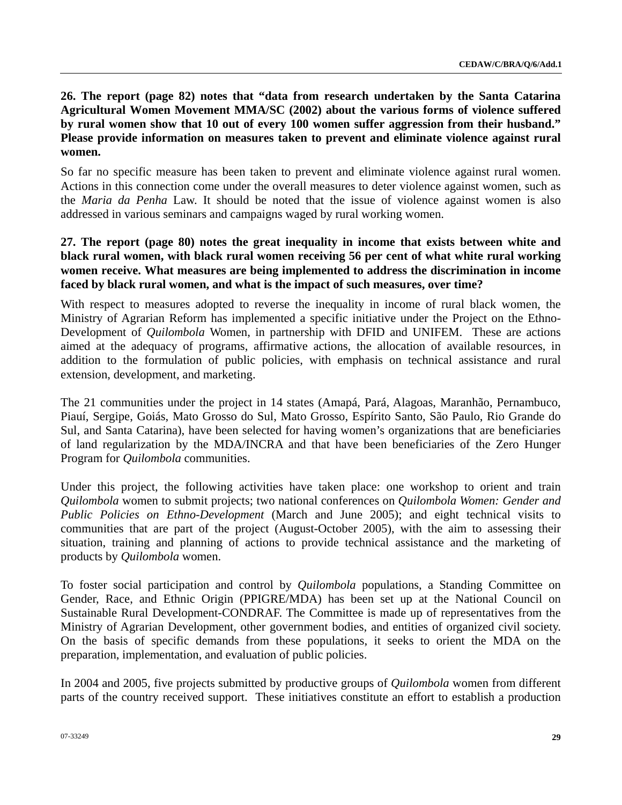# **26. The report (page 82) notes that "data from research undertaken by the Santa Catarina Agricultural Women Movement MMA/SC (2002) about the various forms of violence suffered by rural women show that 10 out of every 100 women suffer aggression from their husband." Please provide information on measures taken to prevent and eliminate violence against rural women.**

So far no specific measure has been taken to prevent and eliminate violence against rural women. Actions in this connection come under the overall measures to deter violence against women, such as the *Maria da Penha* Law. It should be noted that the issue of violence against women is also addressed in various seminars and campaigns waged by rural working women.

## **27. The report (page 80) notes the great inequality in income that exists between white and black rural women, with black rural women receiving 56 per cent of what white rural working women receive. What measures are being implemented to address the discrimination in income faced by black rural women, and what is the impact of such measures, over time?**

With respect to measures adopted to reverse the inequality in income of rural black women, the Ministry of Agrarian Reform has implemented a specific initiative under the Project on the Ethno-Development of *Quilombola* Women, in partnership with DFID and UNIFEM. These are actions aimed at the adequacy of programs, affirmative actions, the allocation of available resources, in addition to the formulation of public policies, with emphasis on technical assistance and rural extension, development, and marketing.

The 21 communities under the project in 14 states (Amapá, Pará, Alagoas, Maranhão, Pernambuco, Piauí, Sergipe, Goiás, Mato Grosso do Sul, Mato Grosso, Espírito Santo, São Paulo, Rio Grande do Sul, and Santa Catarina), have been selected for having women's organizations that are beneficiaries of land regularization by the MDA/INCRA and that have been beneficiaries of the Zero Hunger Program for *Quilombola* communities.

Under this project, the following activities have taken place: one workshop to orient and train *Quilombola* women to submit projects; two national conferences on *Quilombola Women: Gender and Public Policies on Ethno-Development* (March and June 2005); and eight technical visits to communities that are part of the project (August-October 2005), with the aim to assessing their situation, training and planning of actions to provide technical assistance and the marketing of products by *Quilombola* women.

To foster social participation and control by *Quilombola* populations, a Standing Committee on Gender, Race, and Ethnic Origin (PPIGRE/MDA) has been set up at the National Council on Sustainable Rural Development-CONDRAF. The Committee is made up of representatives from the Ministry of Agrarian Development, other government bodies, and entities of organized civil society. On the basis of specific demands from these populations, it seeks to orient the MDA on the preparation, implementation, and evaluation of public policies.

In 2004 and 2005, five projects submitted by productive groups of *Quilombola* women from different parts of the country received support. These initiatives constitute an effort to establish a production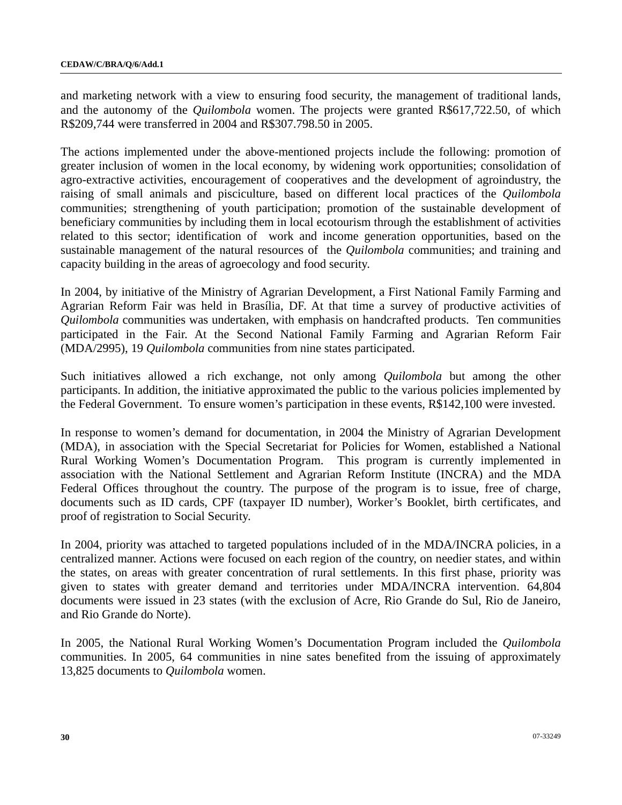and marketing network with a view to ensuring food security, the management of traditional lands, and the autonomy of the *Quilombola* women. The projects were granted R\$617,722.50, of which R\$209,744 were transferred in 2004 and R\$307.798.50 in 2005.

The actions implemented under the above-mentioned projects include the following: promotion of greater inclusion of women in the local economy, by widening work opportunities; consolidation of agro-extractive activities, encouragement of cooperatives and the development of agroindustry, the raising of small animals and pisciculture, based on different local practices of the *Quilombola*  communities; strengthening of youth participation; promotion of the sustainable development of beneficiary communities by including them in local ecotourism through the establishment of activities related to this sector; identification of work and income generation opportunities, based on the sustainable management of the natural resources of the *Quilombola* communities; and training and capacity building in the areas of agroecology and food security.

In 2004, by initiative of the Ministry of Agrarian Development, a First National Family Farming and Agrarian Reform Fair was held in Brasília, DF. At that time a survey of productive activities of *Quilombola* communities was undertaken, with emphasis on handcrafted products. Ten communities participated in the Fair. At the Second National Family Farming and Agrarian Reform Fair (MDA/2995), 19 *Quilombola* communities from nine states participated.

Such initiatives allowed a rich exchange, not only among *Quilombola* but among the other participants. In addition, the initiative approximated the public to the various policies implemented by the Federal Government. To ensure women's participation in these events, R\$142,100 were invested.

In response to women's demand for documentation, in 2004 the Ministry of Agrarian Development (MDA), in association with the Special Secretariat for Policies for Women, established a National Rural Working Women's Documentation Program. This program is currently implemented in association with the National Settlement and Agrarian Reform Institute (INCRA) and the MDA Federal Offices throughout the country. The purpose of the program is to issue, free of charge, documents such as ID cards, CPF (taxpayer ID number), Worker's Booklet, birth certificates, and proof of registration to Social Security.

In 2004, priority was attached to targeted populations included of in the MDA/INCRA policies, in a centralized manner. Actions were focused on each region of the country, on needier states, and within the states, on areas with greater concentration of rural settlements. In this first phase, priority was given to states with greater demand and territories under MDA/INCRA intervention. 64,804 documents were issued in 23 states (with the exclusion of Acre, Rio Grande do Sul, Rio de Janeiro, and Rio Grande do Norte).

In 2005, the National Rural Working Women's Documentation Program included the *Quilombola*  communities. In 2005, 64 communities in nine sates benefited from the issuing of approximately 13,825 documents to *Quilombola* women.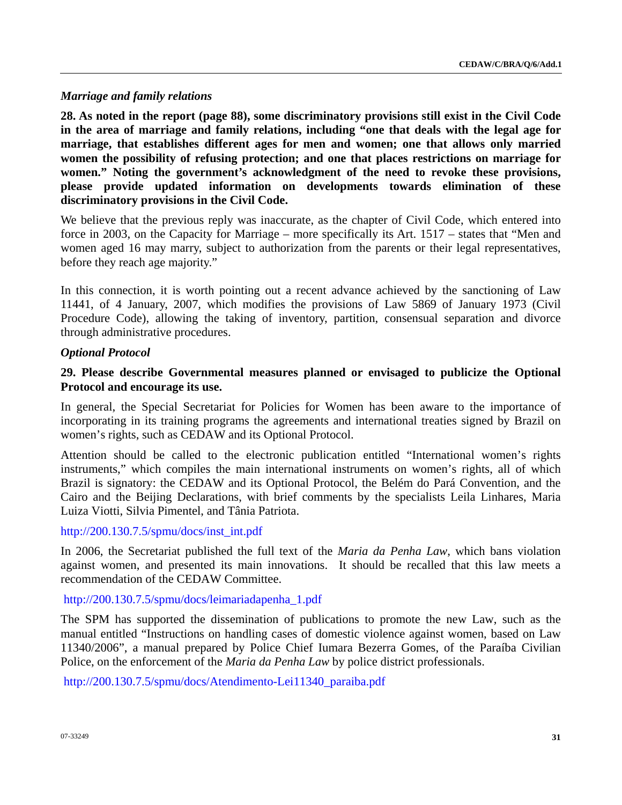### *Marriage and family relations*

**28. As noted in the report (page 88), some discriminatory provisions still exist in the Civil Code in the area of marriage and family relations, including "one that deals with the legal age for marriage, that establishes different ages for men and women; one that allows only married women the possibility of refusing protection; and one that places restrictions on marriage for women." Noting the government's acknowledgment of the need to revoke these provisions, please provide updated information on developments towards elimination of these discriminatory provisions in the Civil Code.** 

We believe that the previous reply was inaccurate, as the chapter of Civil Code, which entered into force in 2003, on the Capacity for Marriage – more specifically its Art. 1517 – states that "Men and women aged 16 may marry, subject to authorization from the parents or their legal representatives, before they reach age majority."

In this connection, it is worth pointing out a recent advance achieved by the sanctioning of Law 11441, of 4 January, 2007, which modifies the provisions of Law 5869 of January 1973 (Civil Procedure Code), allowing the taking of inventory, partition, consensual separation and divorce through administrative procedures.

### *Optional Protocol*

# **29. Please describe Governmental measures planned or envisaged to publicize the Optional Protocol and encourage its use.**

In general, the Special Secretariat for Policies for Women has been aware to the importance of incorporating in its training programs the agreements and international treaties signed by Brazil on women's rights, such as CEDAW and its Optional Protocol.

Attention should be called to the electronic publication entitled "International women's rights instruments," which compiles the main international instruments on women's rights, all of which Brazil is signatory: the CEDAW and its Optional Protocol, the Belém do Pará Convention, and the Cairo and the Beijing Declarations, with brief comments by the specialists Leila Linhares, Maria Luiza Viotti, Silvia Pimentel, and Tânia Patriota.

#### [http://200.130.7.5/spmu/docs/inst\\_int.pdf](http://200.130.7.5/spmu/docs/inst_int.pdf)

In 2006, the Secretariat published the full text of the *Maria da Penha Law*, which bans violation against women, and presented its main innovations. It should be recalled that this law meets a recommendation of the CEDAW Committee.

## [http://200.130.7.5/spmu/docs/leimariadapenha\\_1.pdf](http://200.130.7.5/spmu/docs/leimariadapenha_1.pdf)

The SPM has supported the dissemination of publications to promote the new Law, such as the manual entitled "Instructions on handling cases of domestic violence against women, based on Law 11340/2006", a manual prepared by Police Chief Iumara Bezerra Gomes, of the Paraíba Civilian Police, on the enforcement of the *Maria da Penha Law* by police district professionals.

[http://200.130.7.5/spmu/docs/Atendimento-Lei11340\\_paraiba.pdf](http://200.130.7.5/spmu/docs/Atendimento-Lei11340_paraiba.pdf)